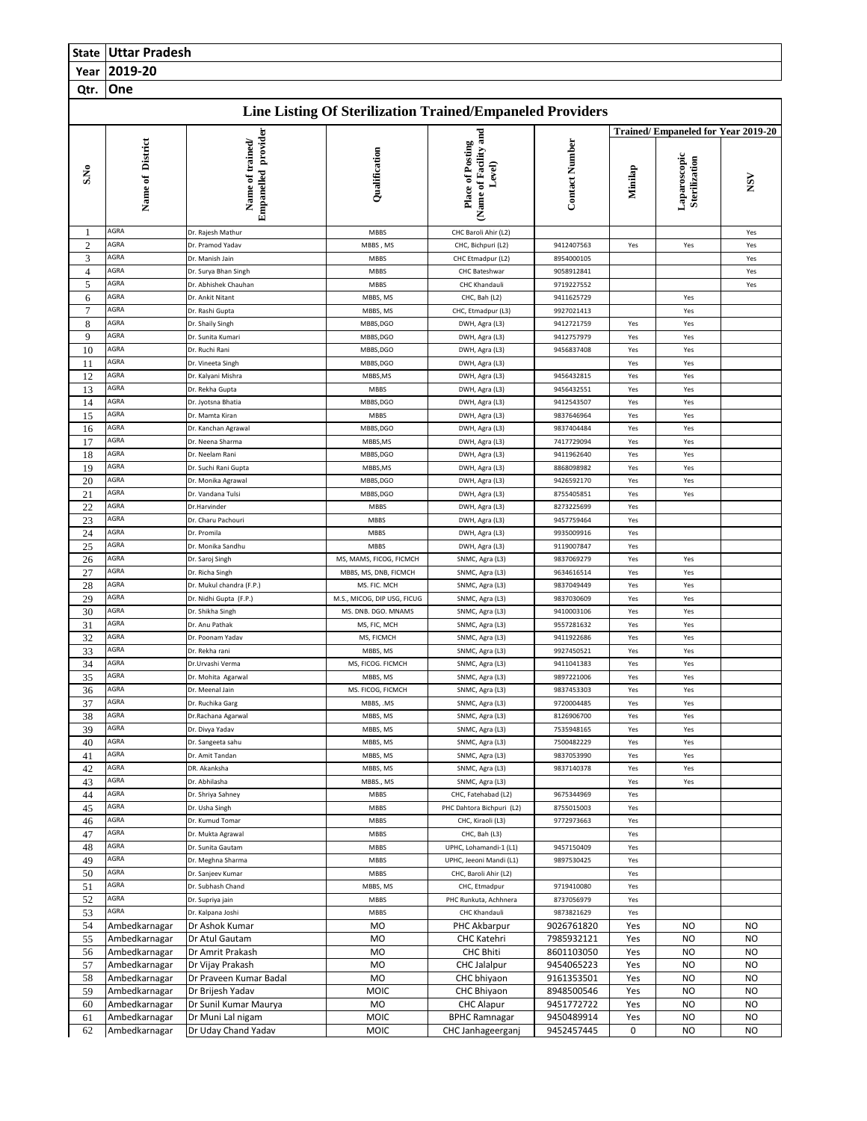|                     | <b>State   Uttar Pradesh</b>   |                                                |                                     |                                                                  |                          |            |                                    |                        |  |
|---------------------|--------------------------------|------------------------------------------------|-------------------------------------|------------------------------------------------------------------|--------------------------|------------|------------------------------------|------------------------|--|
| Year                | 2019-20                        |                                                |                                     |                                                                  |                          |            |                                    |                        |  |
| Qtr.                | One                            |                                                |                                     |                                                                  |                          |            |                                    |                        |  |
|                     |                                |                                                |                                     | <b>Line Listing Of Sterilization Trained/Empaneled Providers</b> |                          |            |                                    |                        |  |
|                     |                                |                                                |                                     |                                                                  |                          |            | Trained/Empaneled for Year 2019-20 |                        |  |
| S.No                | Name of District               | <b>Empanelled</b> provider<br>Name of trained/ | Qualification                       | (Name of Facility and<br>Place of Posting<br>Level)              | <b>Contact Number</b>    | Minilap    | Laparoscopic<br>Sterilization      | $\mathsf{v}\mathsf{g}$ |  |
| -1                  | AGRA                           | Dr. Rajesh Mathur                              | <b>MBBS</b>                         | CHC Baroli Ahir (L2)                                             |                          |            |                                    | Yes                    |  |
| $\overline{c}$      | AGRA                           | Dr. Pramod Yadav                               | MBBS, MS                            | CHC, Bichpuri (L2)                                               | 9412407563               | Yes        | Yes                                | Yes                    |  |
| 3<br>$\overline{4}$ | AGRA<br>AGRA                   | Dr. Manish Jain                                | MBBS                                | CHC Etmadpur (L2)<br><b>CHC Bateshwar</b>                        | 8954000105<br>9058912841 |            |                                    | Yes                    |  |
| 5                   | AGRA                           | Dr. Surya Bhan Singh<br>Dr. Abhishek Chauhan   | <b>MBBS</b><br>MBBS                 | CHC Khandauli                                                    | 9719227552               |            |                                    | Yes<br>Yes             |  |
| 6                   | AGRA                           | Dr. Ankit Nitant                               | MBBS, MS                            | CHC, Bah (L2)                                                    | 9411625729               |            | Yes                                |                        |  |
| $\tau$              | AGRA                           | Dr. Rashi Gupta                                | MBBS, MS                            | CHC, Etmadpur (L3)                                               | 9927021413               |            | Yes                                |                        |  |
| 8                   | AGRA                           | Dr. Shaily Singh                               | MBBS, DGO                           | DWH, Agra (L3)                                                   | 9412721759               | Yes        | Yes                                |                        |  |
| 9                   | AGRA<br>AGRA                   | Dr. Sunita Kumari                              | MBBS,DGO                            | DWH, Agra (L3)                                                   | 9412757979               | Yes        | Yes                                |                        |  |
| 10<br>11            | AGRA                           | Dr. Ruchi Rani<br>Dr. Vineeta Singh            | MBBS, DGO<br>MBBS,DGO               | DWH, Agra (L3)<br>DWH, Agra (L3)                                 | 9456837408               | Yes<br>Yes | Yes<br>Yes                         |                        |  |
| 12                  | AGRA                           | Dr. Kalyani Mishra                             | MBBS, MS                            | DWH, Agra (L3)                                                   | 9456432815               | Yes        | Yes                                |                        |  |
| 13                  | AGRA                           | Dr. Rekha Gupta                                | <b>MBBS</b>                         | DWH, Agra (L3)                                                   | 9456432551               | Yes        | Yes                                |                        |  |
| 14                  | AGRA                           | Dr. Jyotsna Bhatia                             | MBBS, DGO                           | DWH, Agra (L3)                                                   | 9412543507               | Yes        | Yes                                |                        |  |
| 15                  | AGRA                           | Dr. Mamta Kiran                                | <b>MBBS</b>                         | DWH, Agra (L3)                                                   | 9837646964               | Yes        | Yes                                |                        |  |
| 16<br>17            | AGRA<br>AGRA                   | Dr. Kanchan Agrawal<br>Dr. Neena Sharma        | MBBS,DGO<br>MBBS, MS                | DWH, Agra (L3)<br>DWH, Agra (L3)                                 | 9837404484<br>7417729094 | Yes<br>Yes | Yes<br>Yes                         |                        |  |
| 18                  | AGRA                           | Dr. Neelam Rani                                | MBBS,DGO                            | DWH, Agra (L3)                                                   | 9411962640               | Yes        | Yes                                |                        |  |
| 19                  | AGRA                           | Dr. Suchi Rani Gupta                           | MBBS, MS                            | DWH, Agra (L3)                                                   | 8868098982               | Yes        | Yes                                |                        |  |
| 20                  | AGRA                           | Dr. Monika Agrawal                             | MBBS,DGO                            | DWH, Agra (L3)                                                   | 9426592170               | Yes        | Yes                                |                        |  |
| 21                  | AGRA                           | Dr. Vandana Tulsi                              | MBBS, DGO                           | DWH, Agra (L3)                                                   | 8755405851               | Yes        | Yes                                |                        |  |
| 22                  | AGRA                           | Dr.Harvinder                                   | MBBS                                | DWH, Agra (L3)                                                   | 8273225699               | Yes        |                                    |                        |  |
| 23<br>24            | AGRA<br>AGRA                   | Dr. Charu Pachouri<br>Dr. Promila              | MBBS<br>MBBS                        | DWH, Agra (L3)<br>DWH, Agra (L3)                                 | 9457759464<br>9935009916 | Yes<br>Yes |                                    |                        |  |
| 25                  | AGRA                           | Dr. Monika Sandhu                              | MBBS                                | DWH, Agra (L3)                                                   | 9119007847               | Yes        |                                    |                        |  |
| 26                  | AGRA                           | Dr. Saroj Singh                                | MS, MAMS, FICOG, FICMCH             | SNMC, Agra (L3)                                                  | 9837069279               | Yes        | Yes                                |                        |  |
| 27                  | AGRA                           | Dr. Richa Singh                                | MBBS, MS, DNB, FICMCH               | SNMC, Agra (L3)                                                  | 9634616514               | Yes        | Yes                                |                        |  |
| 28                  | AGRA                           | Dr. Mukul chandra (F.P.)                       | MS. FIC. MCH                        | SNMC, Agra (L3)                                                  | 9837049449               | Yes        | Yes                                |                        |  |
| 29                  | AGRA<br>AGRA                   | Dr. Nidhi Gupta (F.P.)                         | M.S., MICOG, DIP USG, FICUG         | SNMC, Agra (L3)                                                  | 9837030609               | Yes        | Yes                                |                        |  |
| 30<br>31            | AGRA                           | Dr. Shikha Singh<br>Dr. Anu Pathak             | MS. DNB. DGO. MNAMS<br>MS, FIC, MCH | SNMC, Agra (L3)<br>SNMC, Agra (L3)                               | 9410003106<br>9557281632 | Yes<br>Yes | Yes<br>Yes                         |                        |  |
| 32                  | AGRA                           | Dr. Poonam Yadav                               | MS, FICMCH                          | SNMC, Agra (L3)                                                  | 9411922686               | Yes        | Yes                                |                        |  |
| 33                  | AGRA                           | Dr. Rekha rani                                 | MBBS, MS                            | SNMC, Agra (L3)                                                  | 9927450521               | Yes        | Yes                                |                        |  |
| 34                  | AGRA                           | Dr.Urvashi Verma                               | MS, FICOG. FICMCH                   | SNMC, Agra (L3)                                                  | 9411041383               | Yes        | Yes                                |                        |  |
| 35                  | AGRA                           | Dr. Mohita Agarwal                             | MBBS, MS                            | SNMC, Agra (L3)                                                  | 9897221006               | Yes        | Yes                                |                        |  |
| 36<br>37            | AGRA<br>AGRA                   | Dr. Meenal Jain<br>Dr. Ruchika Garg            | MS. FICOG, FICMCH<br>MBBS, .MS      | SNMC, Agra (L3)<br>SNMC, Agra (L3)                               | 9837453303<br>9720004485 | Yes<br>Yes | Yes<br>Yes                         |                        |  |
| 38                  | AGRA                           | Dr.Rachana Agarwal                             | MBBS, MS                            | SNMC, Agra (L3)                                                  | 8126906700               | Yes        | Yes                                |                        |  |
| 39                  | AGRA                           | Dr. Divya Yadav                                | MBBS, MS                            | SNMC, Agra (L3)                                                  | 7535948165               | Yes        | Yes                                |                        |  |
| 40                  | AGRA                           | Dr. Sangeeta sahu                              | MBBS, MS                            | SNMC, Agra (L3)                                                  | 7500482229               | Yes        | Yes                                |                        |  |
| 41                  | AGRA                           | Dr. Amit Tandan                                | MBBS, MS                            | SNMC, Agra (L3)                                                  | 9837053990               | Yes        | Yes                                |                        |  |
| 42<br>43            | AGRA<br>AGRA                   | DR. Akanksha<br>Dr. Abhilasha                  | MBBS, MS<br>MBBS., MS               | SNMC, Agra (L3)                                                  | 9837140378               | Yes        | Yes                                |                        |  |
| 44                  | AGRA                           | Dr. Shriya Sahney                              | MBBS                                | SNMC, Agra (L3)<br>CHC, Fatehabad (L2)                           | 9675344969               | Yes<br>Yes | Yes                                |                        |  |
| 45                  | AGRA                           | Dr. Usha Singh                                 | MBBS                                | PHC Dahtora Bichpuri (L2)                                        | 8755015003               | Yes        |                                    |                        |  |
| 46                  | AGRA                           | Dr. Kumud Tomar                                | <b>MBBS</b>                         | CHC, Kiraoli (L3)                                                | 9772973663               | Yes        |                                    |                        |  |
| 47                  | AGRA                           | Dr. Mukta Agrawal                              | MBBS                                | CHC, Bah (L3)                                                    |                          | Yes        |                                    |                        |  |
| 48                  | AGRA<br>AGRA                   | Dr. Sunita Gautam                              | <b>MBBS</b>                         | UPHC, Lohamandi-1 (L1)                                           | 9457150409               | Yes        |                                    |                        |  |
| 49<br>50            | AGRA                           | Dr. Meghna Sharma<br>Dr. Sanjeev Kumar         | <b>MBBS</b><br>MBBS                 | UPHC, Jeeoni Mandi (L1)<br>CHC, Baroli Ahir (L2)                 | 9897530425               | Yes<br>Yes |                                    |                        |  |
| 51                  | AGRA                           | Dr. Subhash Chand                              | MBBS, MS                            | CHC, Etmadpur                                                    | 9719410080               | Yes        |                                    |                        |  |
| 52                  | AGRA                           | Dr. Supriya jain                               | MBBS                                | PHC Runkuta, Achhnera                                            | 8737056979               | Yes        |                                    |                        |  |
| 53                  | AGRA                           | Dr. Kalpana Joshi                              | <b>MBBS</b>                         | CHC Khandauli                                                    | 9873821629               | Yes        |                                    |                        |  |
| 54                  | Ambedkarnagar                  | Dr Ashok Kumar                                 | <b>MO</b>                           | PHC Akbarpur                                                     | 9026761820               | Yes        | <b>NO</b>                          | <b>NO</b>              |  |
| 55                  | Ambedkarnagar                  | Dr Atul Gautam                                 | MO                                  | CHC Katehri                                                      | 7985932121               | Yes        | <b>NO</b>                          | <b>NO</b>              |  |
| 56<br>57            | Ambedkarnagar<br>Ambedkarnagar | Dr Amrit Prakash<br>Dr Vijay Prakash           | MO<br>MO                            | <b>CHC Bhiti</b><br><b>CHC</b> Jalalpur                          | 8601103050<br>9454065223 | Yes<br>Yes | <b>NO</b><br><b>NO</b>             | <b>NO</b><br><b>NO</b> |  |
| 58                  | Ambedkarnagar                  | Dr Praveen Kumar Badal                         | <b>MO</b>                           | CHC bhiyaon                                                      | 9161353501               | Yes        | <b>NO</b>                          | <b>NO</b>              |  |
| 59                  | Ambedkarnagar                  | Dr Brijesh Yadav                               | <b>MOIC</b>                         | CHC Bhiyaon                                                      | 8948500546               | Yes        | <b>NO</b>                          | <b>NO</b>              |  |
| 60                  | Ambedkarnagar                  | Dr Sunil Kumar Maurya                          | <b>MO</b>                           | <b>CHC Alapur</b>                                                | 9451772722               | Yes        | <b>NO</b>                          | <b>NO</b>              |  |
| 61                  | Ambedkarnagar                  | Dr Muni Lal nigam                              | <b>MOIC</b>                         | <b>BPHC Ramnagar</b>                                             | 9450489914               | Yes        | <b>NO</b>                          | <b>NO</b>              |  |
| 62                  | Ambedkarnagar                  | Dr Uday Chand Yadav                            | <b>MOIC</b>                         | CHC Janhageerganj                                                | 9452457445               | 0          | <b>NO</b>                          | <b>NO</b>              |  |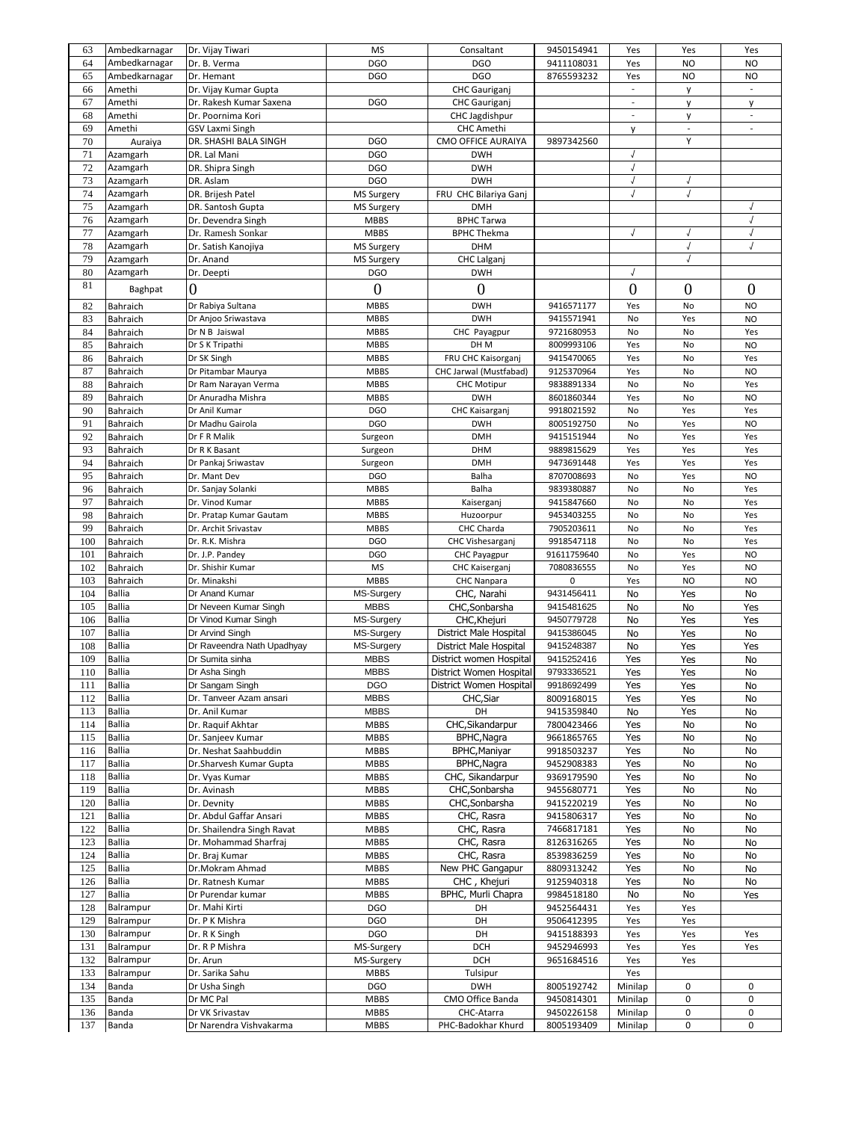| 63  | Ambedkarnagar | Dr. Vijay Tiwari           | <b>MS</b>         | Consaltant              | 9450154941  | Yes                      | Yes                      | Yes                      |
|-----|---------------|----------------------------|-------------------|-------------------------|-------------|--------------------------|--------------------------|--------------------------|
| 64  | Ambedkarnagar | Dr. B. Verma               | <b>DGO</b>        | <b>DGO</b>              | 9411108031  | Yes                      | <b>NO</b>                | <b>NO</b>                |
| 65  | Ambedkarnagar | Dr. Hemant                 | <b>DGO</b>        | <b>DGO</b>              | 8765593232  | Yes                      | <b>NO</b>                | NO                       |
| 66  | Amethi        | Dr. Vijay Kumar Gupta      |                   | CHC Gauriganj           |             | ÷                        | y                        | $\Box$                   |
|     |               |                            |                   |                         |             |                          |                          |                          |
| 67  | Amethi        | Dr. Rakesh Kumar Saxena    | <b>DGO</b>        | <b>CHC</b> Gauriganj    |             | $\overline{\phantom{a}}$ | y                        | y                        |
| 68  | Amethi        | Dr. Poornima Kori          |                   | CHC Jagdishpur          |             | $\mathbb{R}^2$           | y                        | $\overline{\phantom{a}}$ |
| 69  | Amethi        | GSV Laxmi Singh            |                   | <b>CHC Amethi</b>       |             | у                        | $\overline{\phantom{a}}$ | $\overline{\phantom{a}}$ |
| 70  | Auraiya       | DR. SHASHI BALA SINGH      | <b>DGO</b>        | CMO OFFICE AURAIYA      | 9897342560  |                          | Y                        |                          |
| 71  | Azamgarh      | DR. Lal Mani               | <b>DGO</b>        | <b>DWH</b>              |             | J                        |                          |                          |
| 72  | Azamgarh      | DR. Shipra Singh           | <b>DGO</b>        | <b>DWH</b>              |             | $\sqrt{2}$               |                          |                          |
| 73  | Azamgarh      | DR. Aslam                  | <b>DGO</b>        | <b>DWH</b>              |             | J                        |                          |                          |
| 74  | Azamgarh      | DR. Brijesh Patel          | MS Surgery        | FRU CHC Bilariya Ganj   |             | $\sqrt{2}$               | $\sqrt{2}$               |                          |
|     |               |                            |                   |                         |             |                          |                          |                          |
| 75  | Azamgarh      | DR. Santosh Gupta          | <b>MS Surgery</b> | <b>DMH</b>              |             |                          |                          |                          |
| 76  | Azamgarh      | Dr. Devendra Singh         | <b>MBBS</b>       | <b>BPHC Tarwa</b>       |             |                          |                          | $\sqrt{2}$               |
| 77  | Azamgarh      | Dr. Ramesh Sonkar          | <b>MBBS</b>       | <b>BPHC Thekma</b>      |             |                          |                          |                          |
| 78  | Azamgarh      | Dr. Satish Kanojiya        | <b>MS Surgery</b> | <b>DHM</b>              |             |                          |                          |                          |
| 79  | Azamgarh      | Dr. Anand                  | <b>MS Surgery</b> | CHC Lalganj             |             |                          | J                        |                          |
| 80  | Azamgarh      | Dr. Deepti                 | <b>DGO</b>        | <b>DWH</b>              |             | $\sqrt{2}$               |                          |                          |
| 81  |               |                            |                   |                         |             |                          |                          |                          |
|     | Baghpat       | 0                          | $\boldsymbol{0}$  | $\boldsymbol{0}$        |             | $\boldsymbol{0}$         | $\overline{0}$           | $\overline{0}$           |
| 82  | Bahraich      | Dr Rabiya Sultana          | <b>MBBS</b>       | <b>DWH</b>              | 9416571177  | Yes                      | No                       | N <sub>O</sub>           |
| 83  | Bahraich      | Dr Anjoo Sriwastava        | <b>MBBS</b>       | <b>DWH</b>              | 9415571941  | No                       | Yes                      | <b>NO</b>                |
| 84  | Bahraich      | Dr N B Jaiswal             | <b>MBBS</b>       | CHC Payagpur            | 9721680953  | No                       | No                       | Yes                      |
| 85  | Bahraich      | Dr S K Tripathi            | <b>MBBS</b>       | DH M                    | 8009993106  | Yes                      | No                       | <b>NO</b>                |
|     |               |                            |                   |                         |             |                          |                          |                          |
| 86  | Bahraich      | Dr SK Singh                | <b>MBBS</b>       | FRU CHC Kaisorganj      | 9415470065  | Yes                      | No                       | Yes                      |
| 87  | Bahraich      | Dr Pitambar Maurya         | <b>MBBS</b>       | CHC Jarwal (Mustfabad)  | 9125370964  | Yes                      | No                       | <b>NO</b>                |
| 88  | Bahraich      | Dr Ram Narayan Verma       | <b>MBBS</b>       | <b>CHC Motipur</b>      | 9838891334  | No                       | No                       | Yes                      |
| 89  | Bahraich      | Dr Anuradha Mishra         | <b>MBBS</b>       | <b>DWH</b>              | 8601860344  | Yes                      | No                       | N <sub>O</sub>           |
| 90  | Bahraich      | Dr Anil Kumar              | <b>DGO</b>        | CHC Kaisarganj          | 9918021592  | No                       | Yes                      | Yes                      |
| 91  | Bahraich      | Dr Madhu Gairola           | <b>DGO</b>        | <b>DWH</b>              | 8005192750  | No                       | Yes                      | N <sub>O</sub>           |
| 92  | Bahraich      | Dr F R Malik               | Surgeon           | <b>DMH</b>              | 9415151944  | No                       | Yes                      | Yes                      |
| 93  | Bahraich      | Dr R K Basant              | Surgeon           | <b>DHM</b>              | 9889815629  | Yes                      | Yes                      | Yes                      |
|     |               |                            |                   |                         |             |                          |                          |                          |
| 94  | Bahraich      | Dr Pankaj Sriwastav        | Surgeon           | <b>DMH</b>              | 9473691448  | Yes                      | Yes                      | Yes                      |
| 95  | Bahraich      | Dr. Mant Dev               | <b>DGO</b>        | Balha                   | 8707008693  | No                       | Yes                      | <b>NO</b>                |
| 96  | Bahraich      | Dr. Sanjay Solanki         | <b>MBBS</b>       | Balha                   | 9839380887  | No                       | No                       | Yes                      |
| 97  | Bahraich      | Dr. Vinod Kumar            | <b>MBBS</b>       | Kaiserganj              | 9415847660  | No                       | No                       | Yes                      |
| 98  | Bahraich      | Dr. Pratap Kumar Gautam    | <b>MBBS</b>       | Huzoorpur               | 9453403255  | No                       | No                       | Yes                      |
| 99  | Bahraich      | Dr. Archit Srivastav       | <b>MBBS</b>       | CHC Charda              | 7905203611  | No                       | No                       | Yes                      |
| 100 | Bahraich      | Dr. R.K. Mishra            | <b>DGO</b>        | CHC Vishesarganj        | 9918547118  | No                       | No                       | Yes                      |
| 101 | Bahraich      | Dr. J.P. Pandey            | <b>DGO</b>        | <b>CHC Payagpur</b>     | 91611759640 | No                       | Yes                      | <b>NO</b>                |
|     |               |                            |                   |                         |             |                          |                          |                          |
| 102 | Bahraich      | Dr. Shishir Kumar          | <b>MS</b>         | CHC Kaiserganj          | 7080836555  | No                       | Yes                      | N <sub>O</sub>           |
| 103 | Bahraich      | Dr. Minakshi               | <b>MBBS</b>       | CHC Nanpara             | $\mathbf 0$ | Yes                      | <b>NO</b>                | N <sub>O</sub>           |
| 104 | <b>Ballia</b> | Dr Anand Kumar             | MS-Surgery        | CHC, Narahi             | 9431456411  | No                       | Yes                      | No                       |
| 105 | <b>Ballia</b> | Dr Neveen Kumar Singh      | <b>MBBS</b>       | CHC, Sonbarsha          | 9415481625  | No                       | No                       | Yes                      |
| 106 | <b>Ballia</b> | Dr Vinod Kumar Singh       | MS-Surgery        | CHC, Khejuri            | 9450779728  | No                       | Yes                      | Yes                      |
| 107 | <b>Ballia</b> | Dr Arvind Singh            | MS-Surgery        | District Male Hospital  | 9415386045  | No                       | Yes                      | No                       |
| 108 | <b>Ballia</b> | Dr Raveendra Nath Upadhyay | MS-Surgery        | District Male Hospital  | 9415248387  | No                       | Yes                      | Yes                      |
| 109 | <b>Ballia</b> | Dr Sumita sinha            | <b>MBBS</b>       | District women Hospital | 9415252416  | Yes                      | Yes                      | No                       |
|     |               |                            |                   |                         |             |                          |                          |                          |
| 110 | <b>Ballia</b> | Dr Asha Singh              | <b>MBBS</b>       | District Women Hospital | 9793336521  | Yes                      | Yes                      | No                       |
| 111 | Ballia        | Dr Sangam Singh            | <b>DGO</b>        | District Women Hospital | 9918692499  | Yes                      | Yes                      | No                       |
| 112 | <b>Ballia</b> | Dr. Tanveer Azam ansari    | <b>MBBS</b>       | CHC, Siar               | 8009168015  | Yes                      | Yes                      | No                       |
| 113 | <b>Ballia</b> | Dr. Anil Kumar             | <b>MBBS</b>       | DH                      | 9415359840  | No                       | Yes                      | No                       |
| 114 | <b>Ballia</b> | Dr. Raquif Akhtar          | <b>MBBS</b>       | CHC, Sikandarpur        | 7800423466  | Yes                      | No                       | No                       |
| 115 | <b>Ballia</b> | Dr. Sanjeev Kumar          | <b>MBBS</b>       | BPHC, Nagra             | 9661865765  | Yes                      | No                       | No                       |
| 116 | <b>Ballia</b> | Dr. Neshat Saahbuddin      | <b>MBBS</b>       | BPHC, Maniyar           | 9918503237  | Yes                      | No                       | No                       |
| 117 | <b>Ballia</b> | Dr.Sharvesh Kumar Gupta    | <b>MBBS</b>       | BPHC, Nagra             | 9452908383  | Yes                      | No                       | No                       |
| 118 | <b>Ballia</b> |                            | <b>MBBS</b>       | CHC, Sikandarpur        | 9369179590  | Yes                      | No                       | No                       |
|     |               | Dr. Vyas Kumar             |                   |                         |             |                          |                          |                          |
| 119 | <b>Ballia</b> | Dr. Avinash                | <b>MBBS</b>       | CHC, Sonbarsha          | 9455680771  | Yes                      | No                       | No                       |
| 120 | <b>Ballia</b> | Dr. Devnity                | <b>MBBS</b>       | CHC, Sonbarsha          | 9415220219  | Yes                      | No                       | No                       |
| 121 | <b>Ballia</b> | Dr. Abdul Gaffar Ansari    | MBBS              | CHC, Rasra              | 9415806317  | Yes                      | No                       | No                       |
| 122 | <b>Ballia</b> | Dr. Shailendra Singh Ravat | <b>MBBS</b>       | CHC, Rasra              | 7466817181  | Yes                      | No                       | No                       |
| 123 | <b>Ballia</b> | Dr. Mohammad Sharfraj      | <b>MBBS</b>       | CHC, Rasra              | 8126316265  | Yes                      | No                       | No                       |
| 124 | <b>Ballia</b> | Dr. Braj Kumar             | <b>MBBS</b>       | CHC, Rasra              | 8539836259  | Yes                      | No                       | No                       |
| 125 | <b>Ballia</b> | Dr.Mokram Ahmad            | <b>MBBS</b>       | New PHC Gangapur        | 8809313242  | Yes                      | No                       | No                       |
|     | <b>Ballia</b> |                            | <b>MBBS</b>       | CHC, Khejuri            |             | Yes                      | No                       |                          |
| 126 |               | Dr. Ratnesh Kumar          |                   |                         | 9125940318  |                          |                          | No                       |
| 127 | <b>Ballia</b> | Dr Purendar kumar          | <b>MBBS</b>       | BPHC, Murli Chapra      | 9984518180  | No                       | No                       | Yes                      |
| 128 | Balrampur     | Dr. Mahi Kirti             | <b>DGO</b>        | DH                      | 9452564431  | Yes                      | Yes                      |                          |
| 129 | Balrampur     | Dr. P K Mishra             | <b>DGO</b>        | DH                      | 9506412395  | Yes                      | Yes                      |                          |
| 130 | Balrampur     | Dr. R K Singh              | <b>DGO</b>        | DH                      | 9415188393  | Yes                      | Yes                      | Yes                      |
| 131 | Balrampur     | Dr. R P Mishra             | MS-Surgery        | DCH                     | 9452946993  | Yes                      | Yes                      | Yes                      |
| 132 | Balrampur     | Dr. Arun                   | MS-Surgery        | DCH                     | 9651684516  | Yes                      | Yes                      |                          |
| 133 | Balrampur     |                            | <b>MBBS</b>       | Tulsipur                |             | Yes                      |                          |                          |
|     |               | Dr. Sarika Sahu            |                   |                         |             |                          |                          |                          |
| 134 | Banda         | Dr Usha Singh              | <b>DGO</b>        | <b>DWH</b>              | 8005192742  | Minilap                  | 0                        | 0                        |
| 135 | Banda         | Dr MC Pal                  | <b>MBBS</b>       | CMO Office Banda        | 9450814301  | Minilap                  | 0                        | 0                        |
| 136 | Banda         | Dr VK Srivastav            | MBBS              | CHC-Atarra              | 9450226158  | Minilap                  | 0                        | 0                        |
| 137 | Banda         | Dr Narendra Vishvakarma    | <b>MBBS</b>       | PHC-Badokhar Khurd      | 8005193409  | Minilap                  | 0                        | 0                        |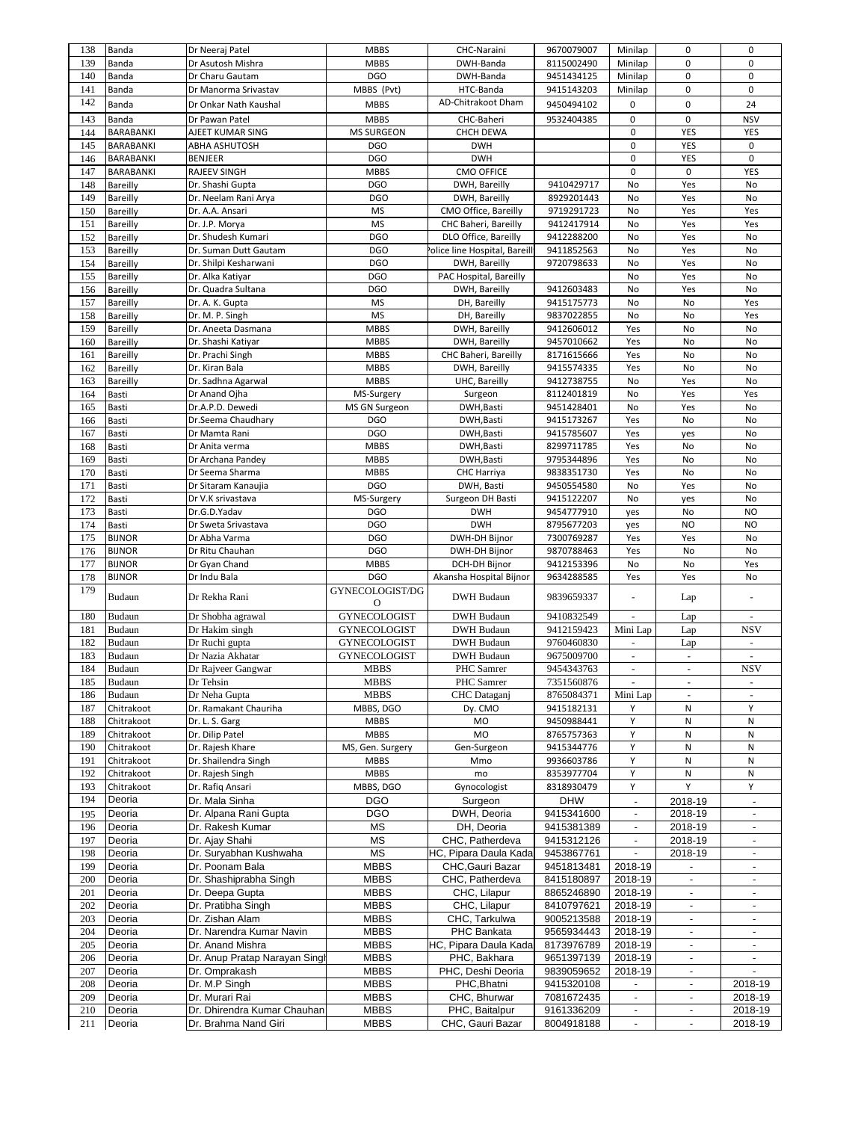| 138 | Banda         | Dr Neeraj Patel               | <b>MBBS</b>         | CHC-Naraini                  | 9670079007 | Minilap                  | 0                        | 0                        |
|-----|---------------|-------------------------------|---------------------|------------------------------|------------|--------------------------|--------------------------|--------------------------|
| 139 | Banda         | Dr Asutosh Mishra             | <b>MBBS</b>         | DWH-Banda                    | 8115002490 | Minilap                  | 0                        | 0                        |
| 140 | Banda         | Dr Charu Gautam               | <b>DGO</b>          | DWH-Banda                    | 9451434125 | Minilap                  | 0                        | 0                        |
| 141 | Banda         | Dr Manorma Srivastav          | MBBS (Pvt)          | HTC-Banda                    | 9415143203 | Minilap                  | 0                        | $\mathbf 0$              |
| 142 | Banda         | Dr Onkar Nath Kaushal         | <b>MBBS</b>         | AD-Chitrakoot Dham           | 9450494102 | 0                        | 0                        | 24                       |
| 143 |               |                               |                     |                              |            |                          | 0                        |                          |
|     | Banda         | Dr Pawan Patel                | <b>MBBS</b>         | CHC-Baheri                   | 9532404385 | 0                        |                          | <b>NSV</b>               |
| 144 | BARABANKI     | AJEET KUMAR SING              | <b>MS SURGEON</b>   | CHCH DEWA                    |            | 0                        | YES                      | YES                      |
| 145 | BARABANKI     | ABHA ASHUTOSH                 | <b>DGO</b>          | <b>DWH</b>                   |            | 0                        | YES                      | 0                        |
| 146 | BARABANKI     | <b>BENJEER</b>                | <b>DGO</b>          | <b>DWH</b>                   |            | 0                        | YES                      | 0                        |
| 147 | BARABANKI     | <b>RAJEEV SINGH</b>           | <b>MBBS</b>         | <b>CMO OFFICE</b>            |            | 0                        | 0                        | YES                      |
| 148 | Bareilly      | Dr. Shashi Gupta              | <b>DGO</b>          | DWH, Bareilly                | 9410429717 | No                       | Yes                      | No                       |
| 149 | Bareilly      | Dr. Neelam Rani Arya          | <b>DGO</b>          | DWH, Bareilly                | 8929201443 | No                       | Yes                      | No                       |
| 150 | Bareilly      | Dr. A.A. Ansari               | <b>MS</b>           | CMO Office, Bareilly         | 9719291723 | No                       | Yes                      | Yes                      |
| 151 | Bareilly      | Dr. J.P. Morya                | MS                  | CHC Baheri, Bareilly         | 9412417914 | No                       | Yes                      | Yes                      |
| 152 | Bareilly      | Dr. Shudesh Kumari            | <b>DGO</b>          | DLO Office, Bareilly         | 9412288200 | No                       | Yes                      | No                       |
| 153 | Bareilly      | Dr. Suman Dutt Gautam         | <b>DGO</b>          | olice line Hospital, Bareill | 9411852563 | No                       | Yes                      | No                       |
| 154 | Bareilly      | Dr. Shilpi Kesharwani         | <b>DGO</b>          | DWH, Bareilly                | 9720798633 | No                       | Yes                      | No                       |
| 155 | Bareilly      | Dr. Alka Katiyar              | <b>DGO</b>          | PAC Hospital, Bareilly       |            | No                       | Yes                      | No                       |
| 156 | Bareilly      | Dr. Quadra Sultana            | <b>DGO</b>          | DWH, Bareilly                | 9412603483 | No                       | Yes                      | No                       |
| 157 | Bareilly      | Dr. A. K. Gupta               | <b>MS</b>           | DH, Bareilly                 | 9415175773 | No                       | No                       | Yes                      |
| 158 | Bareilly      | Dr. M. P. Singh               | MS                  | DH, Bareilly                 | 9837022855 | No                       | No                       | Yes                      |
| 159 | Bareilly      | Dr. Aneeta Dasmana            | <b>MBBS</b>         | DWH, Bareilly                | 9412606012 | Yes                      | No                       | No                       |
| 160 | Bareilly      | Dr. Shashi Katiyar            | <b>MBBS</b>         | DWH, Bareilly                | 9457010662 | Yes                      | No                       | No                       |
| 161 | Bareilly      | Dr. Prachi Singh              | <b>MBBS</b>         | CHC Baheri, Bareilly         | 8171615666 | Yes                      | No                       | No                       |
| 162 | Bareilly      | Dr. Kiran Bala                | <b>MBBS</b>         | DWH, Bareilly                | 9415574335 | Yes                      | No                       | No                       |
| 163 | Bareilly      | Dr. Sadhna Agarwal            | <b>MBBS</b>         | UHC, Bareilly                | 9412738755 | No                       | Yes                      | No                       |
| 164 | Basti         | Dr Anand Ojha                 | MS-Surgery          | Surgeon                      | 8112401819 | No                       | Yes                      | Yes                      |
| 165 | Basti         | Dr.A.P.D. Dewedi              | MS GN Surgeon       | DWH, Basti                   | 9451428401 | No                       | Yes                      | No                       |
| 166 | Basti         | Dr.Seema Chaudharv            | <b>DGO</b>          | DWH, Basti                   | 9415173267 | Yes                      | No                       | No                       |
| 167 |               |                               | <b>DGO</b>          | DWH, Basti                   | 9415785607 |                          |                          | No                       |
|     | Basti         | Dr Mamta Rani                 |                     |                              | 8299711785 | Yes                      | yes                      |                          |
| 168 | Basti         | Dr Anita verma                | <b>MBBS</b>         | DWH, Basti                   |            | Yes                      | No                       | No                       |
| 169 | Basti         | Dr Archana Pandey             | <b>MBBS</b>         | DWH, Basti                   | 9795344896 | Yes                      | No                       | No                       |
| 170 | Basti         | Dr Seema Sharma               | <b>MBBS</b>         | CHC Harriya                  | 9838351730 | Yes                      | No                       | No                       |
| 171 | Basti         | Dr Sitaram Kanaujia           | <b>DGO</b>          | DWH, Basti                   | 9450554580 | No                       | Yes                      | No                       |
| 172 | Basti         | Dr V.K srivastava             | MS-Surgery          | Surgeon DH Basti             | 9415122207 | No                       | yes                      | No                       |
| 173 | Basti         | Dr.G.D.Yadav                  | <b>DGO</b>          | <b>DWH</b>                   | 9454777910 | yes                      | No                       | <b>NO</b>                |
| 174 | Basti         | Dr Sweta Srivastava           | <b>DGO</b>          | <b>DWH</b>                   | 8795677203 | yes                      | <b>NO</b>                | <b>NO</b>                |
| 175 | <b>BIJNOR</b> | Dr Abha Varma                 | <b>DGO</b>          | DWH-DH Bijnor                | 7300769287 | Yes                      | Yes                      | No                       |
| 176 | <b>BIJNOR</b> | Dr Ritu Chauhan               | <b>DGO</b>          | DWH-DH Bijnor                | 9870788463 | Yes                      | No                       | No                       |
| 177 | <b>BIJNOR</b> | Dr Gyan Chand                 | <b>MBBS</b>         | DCH-DH Bijnor                | 9412153396 | No                       | No                       | Yes                      |
| 178 | <b>BIJNOR</b> | Dr Indu Bala                  | <b>DGO</b>          | Akansha Hospital Bijnor      | 9634288585 | Yes                      | Yes                      | No                       |
| 179 |               |                               | GYNECOLOGIST/DG     |                              |            |                          |                          |                          |
|     | Budaun        | Dr Rekha Rani                 | O                   | <b>DWH</b> Budaun            | 9839659337 | ä,                       | Lap                      |                          |
| 180 | Budaun        | Dr Shobha agrawal             | <b>GYNECOLOGIST</b> | <b>DWH</b> Budaun            | 9410832549 |                          | Lap                      |                          |
| 181 | Budaun        | Dr Hakim singh                | <b>GYNECOLOGIST</b> | <b>DWH</b> Budaun            | 9412159423 | Mini Lap                 | Lap                      | <b>NSV</b>               |
| 182 | Budaun        | Dr Ruchi gupta                | <b>GYNECOLOGIST</b> | <b>DWH</b> Budaun            | 9760460830 | $\omega$                 | Lap                      | $\sim$                   |
| 183 | Budaun        | Dr Nazia Akhatar              | <b>GYNECOLOGIST</b> | <b>DWH</b> Budaun            | 9675009700 | $\overline{\phantom{a}}$ | $\overline{\phantom{a}}$ | $\overline{\phantom{a}}$ |
| 184 | Budaun        | Dr Rajveer Gangwar            | <b>MBBS</b>         | PHC Samrer                   | 9454343763 | ÷.                       | $\bar{a}$                | <b>NSV</b>               |
| 185 | Budaun        | Dr Tehsin                     | MBBS                | PHC Samrer                   | 7351560876 | $\overline{\phantom{a}}$ |                          |                          |
| 186 | Budaun        | Dr Neha Gupta                 | <b>MBBS</b>         | CHC Dataganj                 | 8765084371 | Mini Lap                 | $\omega$                 |                          |
| 187 | Chitrakoot    | Dr. Ramakant Chauriha         | MBBS, DGO           | Dy. CMO                      | 9415182131 | Υ                        | N                        | Υ                        |
| 188 | Chitrakoot    | Dr. L. S. Garg                | <b>MBBS</b>         | MO                           | 9450988441 | Υ                        | N                        | N                        |
| 189 | Chitrakoot    | Dr. Dilip Patel               | <b>MBBS</b>         | MO                           | 8765757363 | Υ                        | N                        | N                        |
| 190 | Chitrakoot    |                               |                     |                              |            | Y                        |                          | ${\sf N}$                |
|     |               | Dr. Rajesh Khare              | MS, Gen. Surgery    | Gen-Surgeon                  | 9415344776 |                          | N                        |                          |
| 191 | Chitrakoot    | Dr. Shailendra Singh          | <b>MBBS</b>         | Mmo                          | 9936603786 | Υ                        | N                        | N                        |
| 192 | Chitrakoot    | Dr. Rajesh Singh              | <b>MBBS</b>         | mo                           | 8353977704 | Υ                        | N                        | Ν                        |
| 193 | Chitrakoot    | Dr. Rafiq Ansari              | MBBS, DGO           | Gynocologist                 | 8318930479 | Υ                        | Y                        | Υ                        |
| 194 | Deoria        | Dr. Mala Sinha                | <b>DGO</b>          | Surgeon                      | <b>DHW</b> | $\blacksquare$           | 2018-19                  |                          |
| 195 | Deoria        | Dr. Alpana Rani Gupta         | <b>DGO</b>          | DWH, Deoria                  | 9415341600 | $\overline{\phantom{a}}$ | 2018-19                  |                          |
| 196 | Deoria        | Dr. Rakesh Kumar              | MS                  | DH, Deoria                   | 9415381389 | $\blacksquare$           | 2018-19                  |                          |
| 197 | Deoria        | Dr. Ajay Shahi                | MS                  | CHC, Patherdeva              | 9415312126 |                          | 2018-19                  |                          |
| 198 | Deoria        | Dr. Suryabhan Kushwaha        | ΜS                  | HC, Pipara Daula Kadal       | 9453867761 | $\overline{a}$           | 2018-19                  | $\overline{\phantom{a}}$ |
| 199 | Deoria        | Dr. Poonam Bala               | <b>MBBS</b>         | CHC, Gauri Bazar             | 9451813481 | 2018-19                  |                          |                          |
| 200 | Deoria        | Dr. Shashiprabha Singh        | <b>MBBS</b>         | CHC, Patherdeva              | 8415180897 | 2018-19                  | $\blacksquare$           | $\overline{\phantom{a}}$ |
| 201 | Deoria        | Dr. Deepa Gupta               | <b>MBBS</b>         | CHC, Lilapur                 | 8865246890 | 2018-19                  | $\overline{\phantom{a}}$ |                          |
| 202 | Deoria        | Dr. Pratibha Singh            | <b>MBBS</b>         | CHC, Lilapur                 | 8410797621 | 2018-19                  | $\blacksquare$           | $\overline{\phantom{a}}$ |
| 203 | Deoria        | Dr. Zishan Alam               | <b>MBBS</b>         | CHC, Tarkulwa                | 9005213588 | 2018-19                  | $\blacksquare$           | $\overline{\phantom{a}}$ |
| 204 | Deoria        | Dr. Narendra Kumar Navin      | <b>MBBS</b>         | PHC Bankata                  | 9565934443 | 2018-19                  | $\blacksquare$           | $\blacksquare$           |
| 205 | Deoria        | Dr. Anand Mishra              | <b>MBBS</b>         | HC, Pipara Daula Kada        | 8173976789 | 2018-19                  | $\blacksquare$           |                          |
| 206 | Deoria        | Dr. Anup Pratap Narayan Singl | <b>MBBS</b>         | PHC, Bakhara                 | 9651397139 | 2018-19                  | $\blacksquare$           | $\overline{\phantom{a}}$ |
| 207 | Deoria        | Dr. Omprakash                 | <b>MBBS</b>         | PHC, Deshi Deoria            | 9839059652 | 2018-19                  | $\overline{\phantom{a}}$ |                          |
| 208 | Deoria        | Dr. M.P Singh                 | <b>MBBS</b>         | PHC, Bhatni                  | 9415320108 | $\overline{\phantom{a}}$ | $\blacksquare$           | 2018-19                  |
| 209 | Deoria        | Dr. Murari Rai                | <b>MBBS</b>         | CHC, Bhurwar                 | 7081672435 | $\overline{\phantom{a}}$ | $\overline{\phantom{a}}$ | 2018-19                  |
| 210 | Deoria        | Dr. Dhirendra Kumar Chauhan   | <b>MBBS</b>         | PHC, Baitalpur               | 9161336209 |                          | $\overline{\phantom{a}}$ | 2018-19                  |
|     |               |                               | <b>MBBS</b>         |                              |            | $\blacksquare$           | $\overline{\phantom{a}}$ |                          |
| 211 | Deoria        | Dr. Brahma Nand Giri          |                     | CHC, Gauri Bazar             | 8004918188 |                          |                          | 2018-19                  |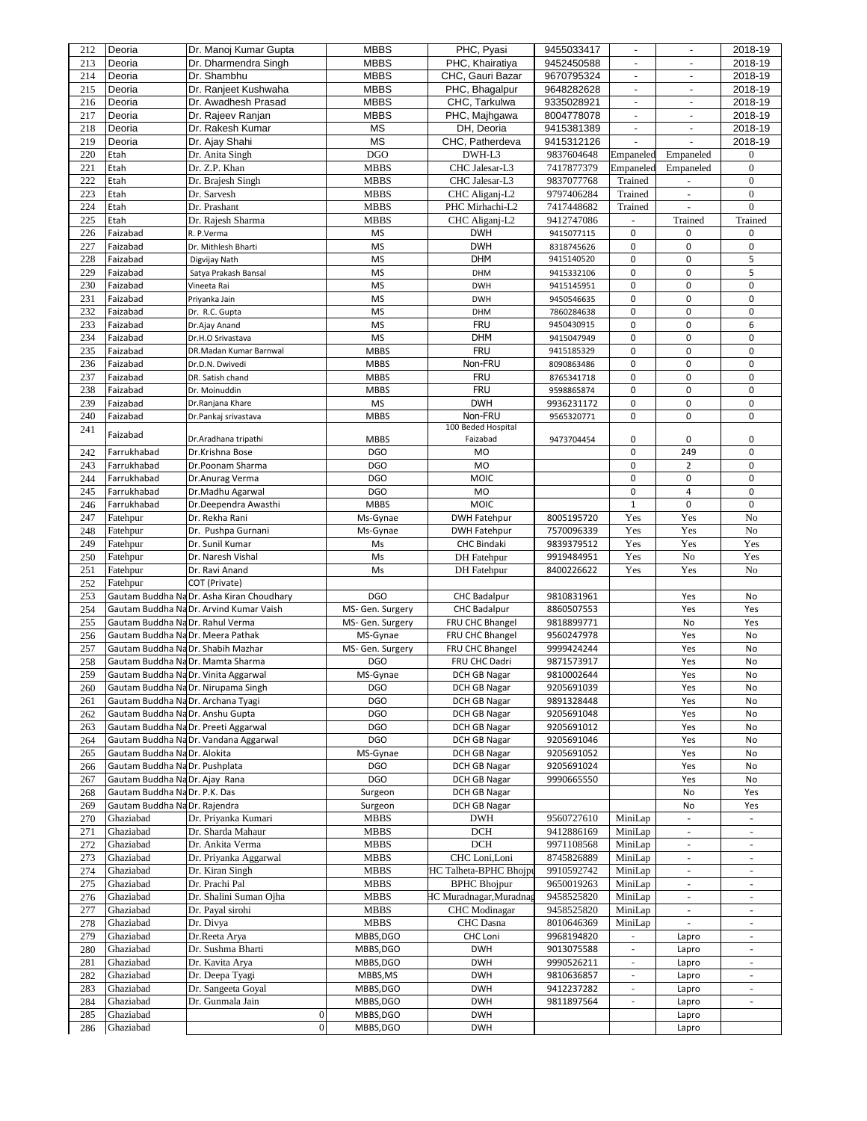| 212        | Deoria                                                       | Dr. Manoj Kumar Gupta                     | <b>MBBS</b>            | PHC, Pyasi                     | 9455033417 |                          | $\overline{\phantom{a}}$                   | 2018-19                  |
|------------|--------------------------------------------------------------|-------------------------------------------|------------------------|--------------------------------|------------|--------------------------|--------------------------------------------|--------------------------|
| 213        | Deoria                                                       | Dr. Dharmendra Singh                      | <b>MBBS</b>            | PHC, Khairatiya                | 9452450588 | $\blacksquare$           | $\blacksquare$                             | 2018-19                  |
| 214        | Deoria                                                       | Dr. Shambhu                               | <b>MBBS</b>            | CHC, Gauri Bazar               | 9670795324 |                          |                                            | 2018-19                  |
| 215        | Deoria                                                       | Dr. Ranjeet Kushwaha                      | <b>MBBS</b>            | PHC, Bhagalpur                 | 9648282628 | $\overline{\phantom{a}}$ | $\overline{\phantom{a}}$                   | 2018-19                  |
| 216        | Deoria                                                       | Dr. Awadhesh Prasad                       | <b>MBBS</b>            | CHC, Tarkulwa                  | 9335028921 |                          |                                            | 2018-19                  |
| 217        | Deoria                                                       | Dr. Rajeev Ranjan                         | <b>MBBS</b>            | PHC, Majhgawa                  | 8004778078 | $\blacksquare$           | $\blacksquare$                             | 2018-19                  |
| 218        | Deoria                                                       | Dr. Rakesh Kumar                          | <b>MS</b>              | DH, Deoria                     | 9415381389 | $\overline{\phantom{a}}$ | $\blacksquare$                             | 2018-19                  |
| 219        | Deoria                                                       | Dr. Ajay Shahi                            | MS                     | CHC, Patherdeva                | 9415312126 | $\overline{\phantom{a}}$ | $\blacksquare$                             | 2018-19                  |
| 220        | Etah                                                         | Dr. Anita Singh                           | <b>DGO</b>             | DWH-L3                         | 9837604648 | Empaneled                | Empaneled                                  | $\mathbf{0}$             |
| 221        | Etah                                                         | Dr. Z.P. Khan                             | <b>MBBS</b>            | CHC Jalesar-L3                 | 7417877379 | Empaneled                | Empaneled                                  | $\boldsymbol{0}$         |
| 222        | Etah                                                         | Dr. Brajesh Singh                         | <b>MBBS</b>            | CHC Jalesar-L3                 | 9837077768 | Trained                  |                                            | $\boldsymbol{0}$         |
| 223        | Etah                                                         | Dr. Sarvesh                               | <b>MBBS</b>            | CHC Aliganj-L2                 | 9797406284 | Trained                  | $\blacksquare$                             | $\boldsymbol{0}$         |
| 224        | Etah                                                         | Dr. Prashant                              | <b>MBBS</b>            | PHC Mirhachi-L2                | 7417448682 | Trained                  | $\overline{\phantom{a}}$                   | $\boldsymbol{0}$         |
| 225        | Etah                                                         | Dr. Rajesh Sharma                         | <b>MBBS</b>            | CHC Aliganj-L2                 | 9412747086 |                          | Trained                                    | Trained                  |
| 226        | Faizabad                                                     | R. P.Verma                                | <b>MS</b>              | <b>DWH</b>                     | 9415077115 | 0                        | 0                                          | 0                        |
| 227        |                                                              | Dr. Mithlesh Bharti                       | <b>MS</b>              | <b>DWH</b>                     | 8318745626 | 0                        | 0                                          | 0                        |
| 228        | Faizabad                                                     |                                           | <b>MS</b>              | <b>DHM</b>                     | 9415140520 | 0                        | 0                                          | 5                        |
| 229        | Faizabad                                                     | Digvijay Nath                             | <b>MS</b>              |                                |            | 0                        | 0                                          |                          |
|            | Faizabad                                                     | Satya Prakash Bansal                      |                        | DHM                            | 9415332106 |                          |                                            | 5                        |
| 230        | Faizabad                                                     | Vineeta Rai                               | <b>MS</b>              | <b>DWH</b>                     | 9415145951 | 0                        | 0                                          | 0                        |
| 231        | Faizabad                                                     | Priyanka Jain                             | <b>MS</b>              | <b>DWH</b>                     | 9450546635 | 0                        | 0                                          | 0                        |
| 232        | Faizabad                                                     | Dr. R.C. Gupta                            | <b>MS</b>              | DHM                            | 7860284638 | 0                        | 0                                          | 0                        |
| 233        | Faizabad                                                     | Dr.Ajay Anand                             | MS                     | <b>FRU</b>                     | 9450430915 | 0                        | 0                                          | 6                        |
| 234        | Faizabad                                                     | Dr.H.O Srivastava                         | <b>MS</b>              | <b>DHM</b>                     | 9415047949 | 0                        | 0                                          | $\pmb{0}$                |
| 235        | Faizabad                                                     | DR.Madan Kumar Barnwal                    | <b>MBBS</b>            | <b>FRU</b>                     | 9415185329 | 0                        | 0                                          | $\pmb{0}$                |
| 236        | Faizabad                                                     | Dr.D.N. Dwivedi                           | <b>MBBS</b>            | Non-FRU                        | 8090863486 | 0                        | 0                                          | $\pmb{0}$                |
| 237        | Faizabad                                                     | DR. Satish chand                          | <b>MBBS</b>            | <b>FRU</b>                     | 8765341718 | 0                        | 0                                          | 0                        |
| 238        | Faizabad                                                     | Dr. Moinuddin                             | <b>MBBS</b>            | <b>FRU</b>                     | 9598865874 | 0                        | 0                                          | $\pmb{0}$                |
| 239        | Faizabad                                                     | Dr.Ranjana Khare                          | MS                     | <b>DWH</b>                     | 9936231172 | 0                        | 0                                          | $\pmb{0}$                |
| 240        | Faizabad                                                     | Dr.Pankaj srivastava                      | <b>MBBS</b>            | Non-FRU                        | 9565320771 | 0                        | 0                                          | $\pmb{0}$                |
| 241        | Faizabad                                                     |                                           |                        | 100 Beded Hospital             |            |                          |                                            |                          |
|            |                                                              | Dr.Aradhana tripathi                      | <b>MBBS</b>            | Faizabad                       | 9473704454 | 0                        | 0                                          | 0                        |
| 242        | Farrukhabad                                                  | Dr.Krishna Bose                           | <b>DGO</b>             | MO                             |            | 0                        | 249                                        | 0                        |
| 243        | Farrukhabad                                                  | Dr.Poonam Sharma                          | <b>DGO</b>             | <b>MO</b>                      |            | 0                        | $\overline{2}$                             | $\pmb{0}$                |
| 244        | Farrukhabad                                                  | Dr.Anurag Verma                           | <b>DGO</b>             | MOIC                           |            | $\pmb{0}$                | 0                                          | 0                        |
| 245        | Farrukhabad                                                  | Dr.Madhu Agarwal                          | <b>DGO</b>             | <b>MO</b>                      |            | 0                        | 4                                          | 0                        |
| 246        | Farrukhabad                                                  | Dr.Deependra Awasthi                      | <b>MBBS</b>            | <b>MOIC</b>                    |            | $\mathbf{1}$             | 0                                          | 0                        |
| 247        | Fatehpur                                                     | Dr. Rekha Rani                            | Ms-Gynae               | <b>DWH Fatehpur</b>            | 8005195720 | Yes                      | Yes                                        | No                       |
| 248        | Fatehpur                                                     | Dr. Pushpa Gurnani                        | Ms-Gynae               | <b>DWH Fatehpur</b>            | 7570096339 | Yes                      | Yes                                        | No                       |
|            |                                                              |                                           |                        |                                |            |                          |                                            |                          |
| 249        | Fatehpur                                                     | Dr. Sunil Kumar                           | Ms                     | <b>CHC Bindaki</b>             | 9839379512 | Yes                      | Yes                                        | Yes                      |
| 250        | Fatehpur                                                     | Dr. Naresh Vishal                         | Ms                     | <b>DH</b> Fatehpur             | 9919484951 | Yes                      | No                                         | Yes                      |
| 251        | Fatehpur                                                     | Dr. Ravi Anand                            | Ms                     | <b>DH</b> Fatehpur             | 8400226622 | Yes                      | Yes                                        | No                       |
| 252        | Fatehpur                                                     | COT (Private)                             |                        |                                |            |                          |                                            |                          |
| 253        |                                                              | Gautam Buddha Na Dr. Asha Kiran Choudhary | <b>DGO</b>             | <b>CHC Badalpur</b>            | 9810831961 |                          | Yes                                        | No                       |
| 254        |                                                              | Gautam Buddha NaDr. Arvind Kumar Vaish    | MS- Gen. Surgery       | <b>CHC Badalpur</b>            | 8860507553 |                          | Yes                                        | Yes                      |
| 255        | Gautam Buddha NaDr. Rahul Verma                              |                                           | MS- Gen. Surgery       | FRU CHC Bhangel                | 9818899771 |                          | No                                         | Yes                      |
| 256        | Gautam Buddha NaDr. Meera Pathak                             |                                           | MS-Gynae               | FRU CHC Bhangel                | 9560247978 |                          | Yes                                        | No                       |
| 257        |                                                              | Gautam Buddha Na Dr. Shabih Mazhar        | MS- Gen. Surgery       | FRU CHC Bhangel                | 9999424244 |                          | Yes                                        | No                       |
| 258        |                                                              | Gautam Buddha NaDr. Mamta Sharma          | <b>DGO</b>             | FRU CHC Dadri                  | 9871573917 |                          | Yes                                        | No                       |
| 259        |                                                              | Gautam Buddha Na Dr. Vinita Aggarwal      | MS-Gynae               | DCH GB Nagar                   | 9810002644 |                          | Yes                                        | No                       |
| 260        |                                                              | Gautam Buddha NaDr. Nirupama Singh        | <b>DGO</b>             | DCH GB Nagar                   | 9205691039 |                          | Yes                                        | No                       |
| 261        | Gautam Buddha NaDr. Archana Tyagi                            |                                           | <b>DGO</b>             | DCH GB Nagar                   | 9891328448 |                          | Yes                                        | No                       |
| 262        | Gautam Buddha Na Dr. Anshu Gupta                             |                                           | <b>DGO</b>             | DCH GB Nagar                   | 9205691048 |                          | Yes                                        | No                       |
| 263        |                                                              | Gautam Buddha NaDr. Preeti Aggarwal       | <b>DGO</b>             | DCH GB Nagar                   | 9205691012 |                          | Yes                                        | No                       |
| 264        |                                                              | Gautam Buddha NaDr. Vandana Aggarwal      | <b>DGO</b>             | DCH GB Nagar                   | 9205691046 |                          | Yes                                        | No                       |
| 265        | Gautam Buddha NaDr. Alokita                                  |                                           | MS-Gynae               | DCH GB Nagar                   | 9205691052 |                          | Yes                                        | No                       |
| 266        | Gautam Buddha NaDr. Pushplata                                |                                           | <b>DGO</b>             | DCH GB Nagar                   | 9205691024 |                          | Yes                                        | No                       |
| 267        |                                                              |                                           | <b>DGO</b>             |                                | 9990665550 |                          | Yes                                        | No                       |
|            | Gautam Buddha Na Dr. Ajay Rana                               |                                           |                        | DCH GB Nagar                   |            |                          | No                                         | Yes                      |
| 268        | Gautam Buddha NaDr. P.K. Das<br>Gautam Buddha NaDr. Rajendra |                                           | Surgeon                | DCH GB Nagar                   |            |                          |                                            |                          |
| 269        |                                                              |                                           | Surgeon                | DCH GB Nagar                   |            |                          | No                                         | Yes                      |
| 270        | Ghaziabad                                                    | Dr. Priyanka Kumari                       | <b>MBBS</b>            | <b>DWH</b>                     | 9560727610 | MiniLap                  | $\overline{\phantom{a}}$                   |                          |
| 271        | Ghaziabad                                                    | Dr. Sharda Mahaur                         | <b>MBBS</b>            | DCH                            | 9412886169 | MiniLap                  |                                            | $\overline{\phantom{a}}$ |
| 272        | Ghaziabad                                                    | Dr. Ankita Verma                          | <b>MBBS</b>            | DCH                            | 9971108568 | MiniLap                  | $\blacksquare$<br>$\overline{\phantom{a}}$ |                          |
| 273        | Ghaziabad                                                    | Dr. Priyanka Aggarwal                     | <b>MBBS</b>            | CHC Loni,Loni                  | 8745826889 | MiniLap                  |                                            |                          |
| 274        | Ghaziabad                                                    | Dr. Kiran Singh                           | <b>MBBS</b>            | HC Talheta-BPHC Bhojpu         | 9910592742 | MiniLap                  | $\overline{\phantom{a}}$                   | $\overline{\phantom{a}}$ |
| 275        | Ghaziabad                                                    | Dr. Prachi Pal                            | <b>MBBS</b>            | <b>BPHC</b> Bhojpur            | 9650019263 | MiniLap                  | $\overline{\phantom{a}}$                   | $\overline{\phantom{a}}$ |
| 276        | Ghaziabad                                                    | Dr. Shalini Suman Ojha                    | <b>MBBS</b>            | <b>IC Muradnagar, Muradnag</b> | 9458525820 | MiniLap                  | $\omega$                                   | $\overline{\phantom{a}}$ |
| 277        | Ghaziabad                                                    | Dr. Payal sirohi                          | <b>MBBS</b>            | <b>CHC</b> Modinagar           | 9458525820 | MiniLap                  | $\overline{\phantom{a}}$                   | $\overline{\phantom{a}}$ |
| 278        | Ghaziabad                                                    | Dr. Divya                                 | <b>MBBS</b>            | CHC Dasna                      | 8010646369 | MiniLap                  | $\Box$                                     | $\omega$                 |
| 279        | Ghaziabad                                                    | Dr.Reeta Arya                             | MBBS, DGO              | CHC Loni                       | 9968194820 |                          | Lapro                                      | $\sim$                   |
| 280        | Ghaziabad                                                    | Dr. Sushma Bharti                         | MBBS, DGO              | <b>DWH</b>                     | 9013075588 | $\overline{\phantom{a}}$ | Lapro                                      |                          |
| 281        | Ghaziabad                                                    | Dr. Kavita Arya                           | MBBS, DGO              | <b>DWH</b>                     | 9990526211 | $\overline{\phantom{a}}$ | Lapro                                      | $\overline{\phantom{a}}$ |
| 282        | Ghaziabad                                                    | Dr. Deepa Tyagi                           | MBBS, MS               | <b>DWH</b>                     | 9810636857 | $\overline{\phantom{a}}$ | Lapro                                      |                          |
| 283        | Ghaziabad                                                    | Dr. Sangeeta Goyal                        | MBBS, DGO              | <b>DWH</b>                     | 9412237282 | $\overline{\phantom{a}}$ | Lapro                                      |                          |
| 284        | Ghaziabad                                                    | Dr. Gunmala Jain                          | MBBS, DGO              | <b>DWH</b>                     | 9811897564 |                          | Lapro                                      |                          |
| 285<br>286 | Ghaziabad<br>Ghaziabad                                       | $\boldsymbol{0}$<br>$\mathbf{0}$          | MBBS, DGO<br>MBBS, DGO | <b>DWH</b><br><b>DWH</b>       |            |                          | Lapro<br>Lapro                             |                          |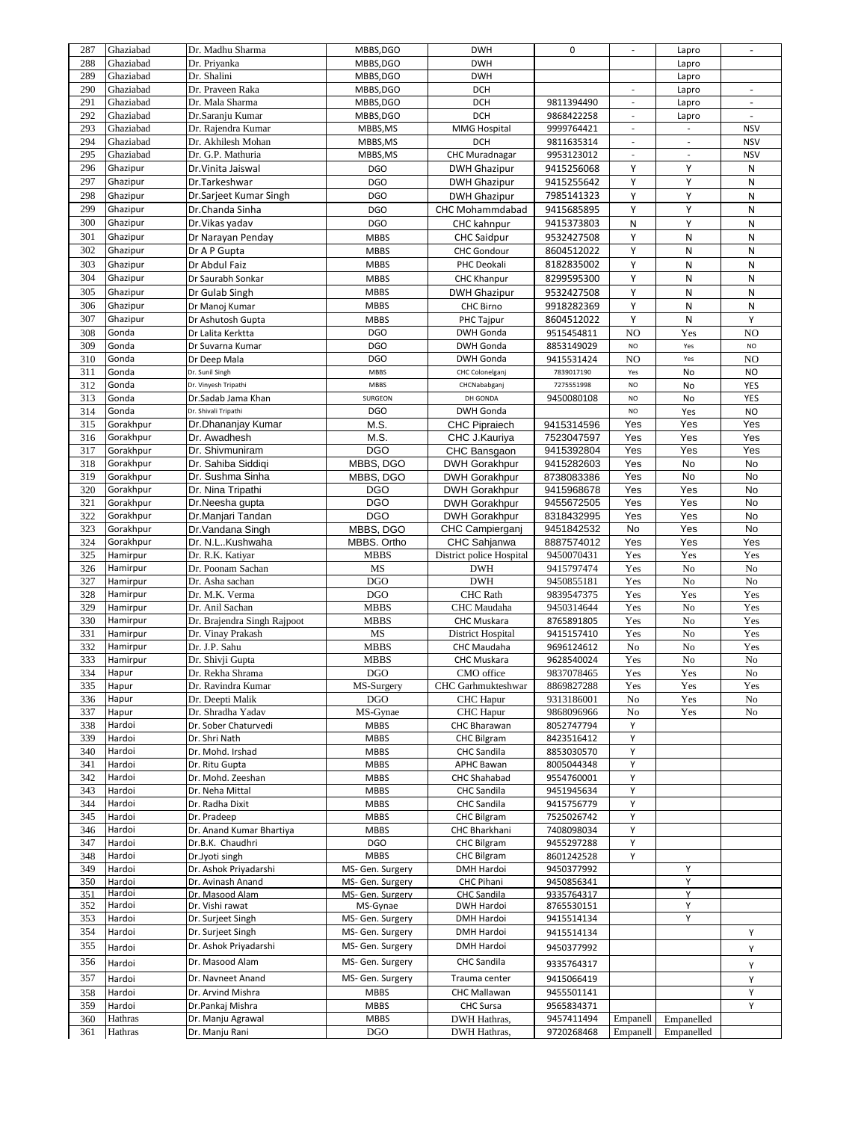| 287 | Ghaziabad        | Dr. Madhu Sharma            | MBBS, DGO        | <b>DWH</b>               | 0          | $\overline{\phantom{a}}$ | Lapro                    | $\overline{\phantom{a}}$ |
|-----|------------------|-----------------------------|------------------|--------------------------|------------|--------------------------|--------------------------|--------------------------|
| 288 | Ghaziabad        | Dr. Priyanka                | MBBS, DGO        | <b>DWH</b>               |            |                          | Lapro                    |                          |
| 289 | Ghaziabad        | Dr. Shalini                 | MBBS, DGO        | <b>DWH</b>               |            |                          | Lapro                    |                          |
| 290 | Ghaziabad        | Dr. Praveen Raka            | MBBS, DGO        | <b>DCH</b>               |            | $\overline{\phantom{a}}$ | Lapro                    | $\blacksquare$           |
| 291 | Ghaziabad        | Dr. Mala Sharma             | MBBS, DGO        | <b>DCH</b>               | 9811394490 |                          | Lapro                    |                          |
| 292 | Ghaziabad        | Dr.Saranju Kumar            | MBBS, DGO        | <b>DCH</b>               | 9868422258 | $\overline{\phantom{a}}$ | Lapro                    | ÷,                       |
| 293 | Ghaziabad        | Dr. Rajendra Kumar          | MBBS, MS         | <b>MMG Hospital</b>      | 9999764421 | $\sim$                   | $\overline{\phantom{a}}$ | <b>NSV</b>               |
| 294 | Ghaziabad        | Dr. Akhilesh Mohan          | MBBS, MS         | <b>DCH</b>               | 9811635314 | $\overline{\phantom{a}}$ | $\Box$                   | <b>NSV</b>               |
| 295 | Ghaziabad        | Dr. G.P. Mathuria           | MBBS, MS         | <b>CHC Muradnagar</b>    | 9953123012 | $\overline{\phantom{a}}$ | $\overline{\phantom{a}}$ | <b>NSV</b>               |
| 296 | Ghazipur         | Dr. Vinita Jaiswal          | <b>DGO</b>       | <b>DWH Ghazipur</b>      | 9415256068 | Υ                        | Υ                        | N                        |
| 297 | Ghazipur         | Dr.Tarkeshwar               | <b>DGO</b>       | <b>DWH Ghazipur</b>      | 9415255642 | Υ                        | Υ                        | N                        |
|     |                  |                             |                  |                          |            |                          |                          |                          |
| 298 | Ghazipur         | Dr.Sarjeet Kumar Singh      | <b>DGO</b>       | <b>DWH Ghazipur</b>      | 7985141323 | Υ                        | Υ                        | N                        |
| 299 | Ghazipur         | Dr.Chanda Sinha             | <b>DGO</b>       | CHC Mohammdabad          | 9415685895 | Υ                        | Υ                        | N                        |
| 300 | Ghazipur         | Dr. Vikas yadav             | <b>DGO</b>       | <b>CHC</b> kahnpur       | 9415373803 | N                        | Υ                        | N                        |
| 301 | Ghazipur         | Dr Narayan Penday           | <b>MBBS</b>      | <b>CHC Saidpur</b>       | 9532427508 | Υ                        | N                        | N                        |
| 302 | Ghazipur         | Dr A P Gupta                | <b>MBBS</b>      | <b>CHC Gondour</b>       | 8604512022 | Υ                        | N                        | N                        |
| 303 | Ghazipur         | Dr Abdul Faiz               | <b>MBBS</b>      | PHC Deokali              | 8182835002 | Υ                        | N                        | Ν                        |
| 304 | Ghazipur         | Dr Saurabh Sonkar           | <b>MBBS</b>      | <b>CHC Khanpur</b>       | 8299595300 | Υ                        | N                        | N                        |
| 305 | Ghazipur         | Dr Gulab Singh              | <b>MBBS</b>      | <b>DWH Ghazipur</b>      | 9532427508 | Υ                        | Ν                        | Ν                        |
| 306 | Ghazipur         |                             | <b>MBBS</b>      | CHC Birno                | 9918282369 | Υ                        | N                        | N                        |
|     |                  | Dr Manoj Kumar              |                  |                          |            |                          |                          |                          |
| 307 | Ghazipur         | Dr Ashutosh Gupta           | <b>MBBS</b>      | PHC Tajpur               | 8604512022 | Υ                        | N                        | Υ                        |
| 308 | Gonda            | Dr Lalita Kerktta           | <b>DGO</b>       | <b>DWH Gonda</b>         | 9515454811 | NO                       | Yes                      | NO                       |
| 309 | Gonda            | Dr Suvarna Kumar            | <b>DGO</b>       | DWH Gonda                | 8853149029 | NO                       | Yes                      | <b>NO</b>                |
| 310 | Gonda            | Dr Deep Mala                | <b>DGO</b>       | <b>DWH Gonda</b>         | 9415531424 | NO                       | Yes                      | NO                       |
| 311 | Gonda            | Dr. Sunil Singh             | MBBS             | CHC Colonelganj          | 7839017190 | Yes                      | No                       | <b>NO</b>                |
| 312 | Gonda            | Dr. Vinyesh Tripathi        | MBBS             | CHCNababganj             | 7275551998 | NO                       | No                       | YES                      |
| 313 | Gonda            | Dr.Sadab Jama Khan          | SURGEON          | DH GONDA                 | 9450080108 | <b>NO</b>                | No                       | YES                      |
| 314 | Gonda            | Dr. Shivali Tripathi        | <b>DGO</b>       | <b>DWH Gonda</b>         |            | <b>NO</b>                | Yes                      | <b>NO</b>                |
| 315 | Gorakhpur        | Dr.Dhananjay Kumar          | M.S.             | <b>CHC Pipraiech</b>     | 9415314596 | Yes                      | Yes                      | Yes                      |
| 316 | Gorakhpur        | Dr. Awadhesh                | M.S.             | CHC J.Kauriya            | 7523047597 | Yes                      | Yes                      | Yes                      |
| 317 | Gorakhpur        | Dr. Shivmuniram             | <b>DGO</b>       | CHC Bansgaon             | 9415392804 | Yes                      | Yes                      | Yes                      |
| 318 | Gorakhpur        | Dr. Sahiba Siddiqi          | MBBS, DGO        | <b>DWH Gorakhpur</b>     | 9415282603 | Yes                      | No                       | No                       |
| 319 | Gorakhpur        | Dr. Sushma Sinha            | MBBS, DGO        | <b>DWH Gorakhpur</b>     | 8738083386 | Yes                      | No                       | No                       |
| 320 | Gorakhpur        | Dr. Nina Tripathi           | <b>DGO</b>       | <b>DWH Gorakhpur</b>     | 9415968678 | Yes                      | Yes                      | No                       |
|     |                  |                             |                  |                          |            |                          |                          |                          |
| 321 | Gorakhpur        | Dr.Neesha gupta             | <b>DGO</b>       | <b>DWH Gorakhpur</b>     | 9455672505 | Yes                      | Yes                      | No                       |
| 322 | Gorakhpur        | Dr.Manjari Tandan           | <b>DGO</b>       | <b>DWH Gorakhpur</b>     | 8318432995 | Yes                      | Yes                      | No                       |
| 323 | Gorakhpur        | Dr.Vandana Singh            | MBBS, DGO        | <b>CHC Campierganj</b>   | 9451842532 | No                       | Yes                      | No                       |
| 324 | Gorakhpur        | Dr. N.LKushwaha             | MBBS. Ortho      | CHC Sahjanwa             | 8887574012 | Yes                      | Yes                      | Yes                      |
| 325 | Hamirpur         | Dr. R.K. Katiyar            | <b>MBBS</b>      | District police Hospital | 9450070431 | Yes                      | Yes                      | Yes                      |
| 326 | Hamirpur         | Dr. Poonam Sachan           | MS               | <b>DWH</b>               | 9415797474 | Yes                      | No                       | No                       |
| 327 | Hamirpur         | Dr. Asha sachan             | <b>DGO</b>       | <b>DWH</b>               | 9450855181 | Yes                      | No                       | No                       |
| 328 | Hamirpur         | Dr. M.K. Verma              | <b>DGO</b>       | <b>CHC</b> Rath          | 9839547375 | Yes                      | Yes                      | Yes                      |
| 329 | Hamirpur         | Dr. Anil Sachan             | <b>MBBS</b>      | CHC Maudaha              | 9450314644 | Yes                      | No                       | Yes                      |
| 330 | Hamirpur         | Dr. Brajendra Singh Rajpoot | <b>MBBS</b>      | <b>CHC Muskara</b>       | 8765891805 | Yes                      | No                       | Yes                      |
| 331 | Hamirpur         | Dr. Vinay Prakash           | MS               | <b>District Hospital</b> | 9415157410 | Yes                      | No                       | Yes                      |
| 332 | Hamirpur         | Dr. J.P. Sahu               | <b>MBBS</b>      | CHC Maudaha              | 9696124612 | No                       | No                       | Yes                      |
| 333 | Hamirpur         | Dr. Shivji Gupta            | <b>MBBS</b>      | <b>CHC Muskara</b>       | 9628540024 | Yes                      | No                       | No                       |
| 334 | Hapur            | Dr. Rekha Shrama            | <b>DGO</b>       | CMO office               | 9837078465 | Yes                      | Yes                      | No                       |
| 335 | Hapur            | Dr. Ravindra Kumar          | MS-Surgery       | CHC Garhmukteshwar       | 8869827288 | Yes                      | Yes                      | Yes                      |
| 336 | Hapur            | Dr. Deepti Malik            | <b>DGO</b>       | <b>CHC</b> Hapur         | 9313186001 | No                       | Yes                      | No                       |
| 337 | Hapur            | Dr. Shradha Yadav           | MS-Gynae         | <b>CHC</b> Hapur         | 9868096966 | No                       | Yes                      | No                       |
| 338 | Hardoi           | Dr. Sober Chaturvedi        | <b>MBBS</b>      | CHC Bharawan             | 8052747794 | Υ                        |                          |                          |
| 339 | Hardoi           |                             | <b>MBBS</b>      |                          |            | Υ                        |                          |                          |
|     |                  | Dr. Shri Nath               |                  | <b>CHC Bilgram</b>       | 8423516412 |                          |                          |                          |
| 340 | Hardoi<br>Hardoi | Dr. Mohd. Irshad            | <b>MBBS</b>      | <b>CHC Sandila</b>       | 8853030570 | Υ<br>Υ                   |                          |                          |
| 341 |                  | Dr. Ritu Gupta              | <b>MBBS</b>      | APHC Bawan               | 8005044348 |                          |                          |                          |
| 342 | Hardoi           | Dr. Mohd. Zeeshan           | <b>MBBS</b>      | CHC Shahabad             | 9554760001 | Υ                        |                          |                          |
| 343 | Hardoi           | Dr. Neha Mittal             | <b>MBBS</b>      | <b>CHC Sandila</b>       | 9451945634 | Υ                        |                          |                          |
| 344 | Hardoi           | Dr. Radha Dixit             | <b>MBBS</b>      | <b>CHC Sandila</b>       | 9415756779 | Υ                        |                          |                          |
| 345 | Hardoi           | Dr. Pradeep                 | <b>MBBS</b>      | <b>CHC Bilgram</b>       | 7525026742 | Υ                        |                          |                          |
| 346 | Hardoi           | Dr. Anand Kumar Bhartiya    | <b>MBBS</b>      | CHC Bharkhani            | 7408098034 | Υ                        |                          |                          |
| 347 | Hardoi           | Dr.B.K. Chaudhri            | <b>DGO</b>       | <b>CHC Bilgram</b>       | 9455297288 | Υ                        |                          |                          |
| 348 | Hardoi           | Dr.Jyoti singh              | <b>MBBS</b>      | <b>CHC Bilgram</b>       | 8601242528 | Y                        |                          |                          |
| 349 | Hardoi           | Dr. Ashok Priyadarshi       | MS- Gen. Surgery | <b>DMH Hardoi</b>        | 9450377992 |                          | Υ                        |                          |
| 350 | Hardoi           | Dr. Avinash Anand           | MS- Gen. Surgery | CHC Pihani               | 9450856341 |                          | Υ                        |                          |
| 351 | Hardoi           | Dr. Masood Alam             | MS- Gen. Surgery | <b>CHC Sandila</b>       | 9335764317 |                          | Y                        |                          |
| 352 | Hardoi           | Dr. Vishi rawat             | MS-Gynae         | DWH Hardoi               | 8765530151 |                          | Υ                        |                          |
| 353 | Hardoi           | Dr. Surjeet Singh           | MS- Gen. Surgery | DMH Hardoi               | 9415514134 |                          | Υ                        |                          |
| 354 | Hardoi           | Dr. Surjeet Singh           | MS- Gen. Surgery | DMH Hardoi               | 9415514134 |                          |                          | Υ                        |
| 355 | Hardoi           | Dr. Ashok Priyadarshi       | MS- Gen. Surgery | DMH Hardoi               | 9450377992 |                          |                          | Y                        |
| 356 |                  | Dr. Masood Alam             | MS- Gen. Surgery | <b>CHC Sandila</b>       |            |                          |                          |                          |
|     | Hardoi           |                             |                  |                          | 9335764317 |                          |                          | Υ                        |
| 357 | Hardoi           | Dr. Navneet Anand           | MS- Gen. Surgery | Trauma center            | 9415066419 |                          |                          | Υ                        |
| 358 | Hardoi           | Dr. Arvind Mishra           | <b>MBBS</b>      | CHC Mallawan             | 9455501141 |                          |                          | Υ                        |
| 359 | Hardoi           | Dr.Pankaj Mishra            | <b>MBBS</b>      | CHC Sursa                | 9565834371 |                          |                          | Y                        |
| 360 | Hathras          | Dr. Manju Agrawal           | <b>MBBS</b>      | DWH Hathras,             | 9457411494 | Empanell                 | Empanelled               |                          |
| 361 | Hathras          | Dr. Manju Rani              | <b>DGO</b>       | DWH Hathras,             | 9720268468 | Empanell                 | Empanelled               |                          |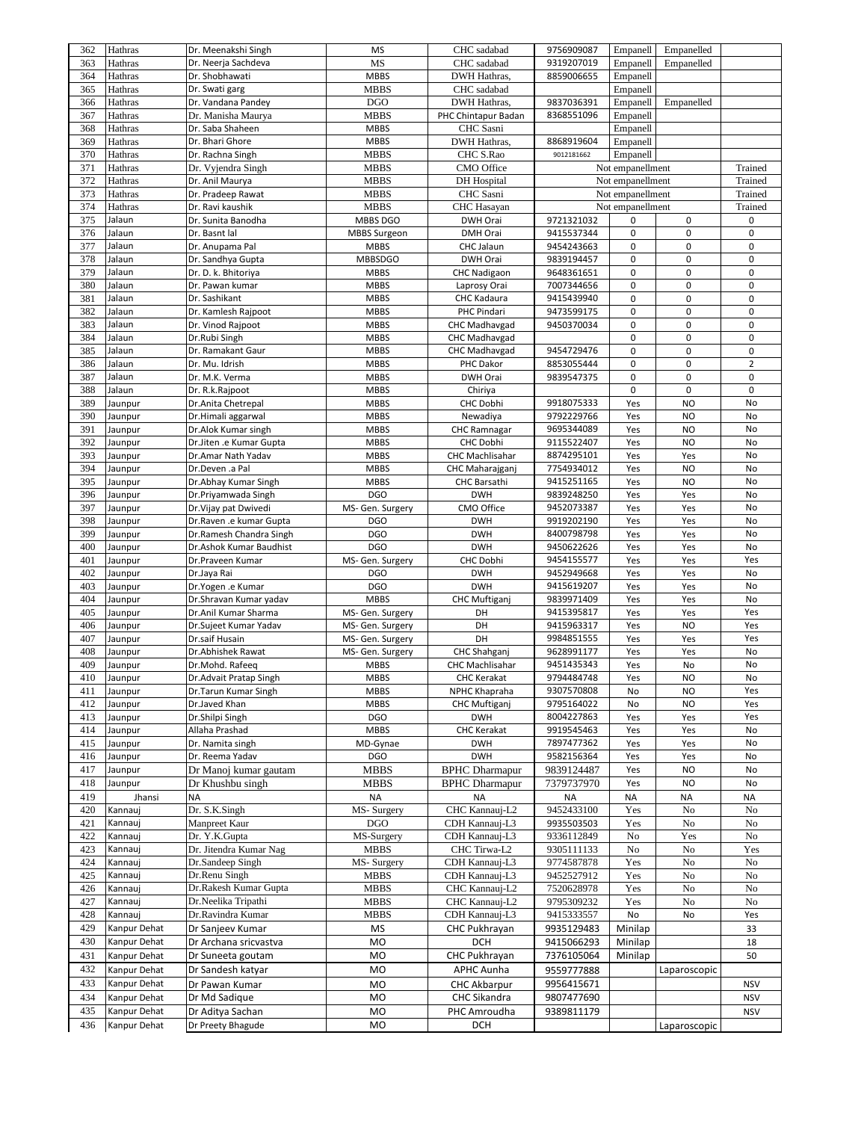| 362        | Hathras            | Dr. Meenakshi Singh                         | <b>MS</b>                  | CHC sadabad                     | 9756909087               | Empanell                             | Empanelled   |                    |
|------------|--------------------|---------------------------------------------|----------------------------|---------------------------------|--------------------------|--------------------------------------|--------------|--------------------|
| 363        | Hathras            | Dr. Neerja Sachdeva                         | MS                         | CHC sadabad                     | 9319207019               | Empanell                             | Empanelled   |                    |
| 364        | Hathras            | Dr. Shobhawati                              | <b>MBBS</b>                | DWH Hathras,                    | 8859006655               | Empanell                             |              |                    |
| 365        | Hathras            | Dr. Swati garg                              | <b>MBBS</b>                | CHC sadabad                     |                          | Empanell                             |              |                    |
| 366        | Hathras            | Dr. Vandana Pandey                          | <b>DGO</b>                 | DWH Hathras,                    | 9837036391               | Empanell                             | Empanelled   |                    |
| 367        | Hathras            | Dr. Manisha Maurya                          | <b>MBBS</b>                | PHC Chintapur Badan             | 8368551096               | Empanell                             |              |                    |
| 368        | Hathras            | Dr. Saba Shaheen                            | <b>MBBS</b>                | CHC Sasni                       |                          | Empanell                             |              |                    |
| 369        | Hathras            | Dr. Bhari Ghore                             | <b>MBBS</b>                | DWH Hathras,                    | 8868919604               | Empanell                             |              |                    |
| 370        | Hathras            | Dr. Rachna Singh                            | <b>MBBS</b>                | CHC S.Rao                       | 9012181662               | Empanell                             |              |                    |
| 371        | Hathras            | Dr. Vyjendra Singh                          | <b>MBBS</b>                | CMO Office                      |                          | Not empanellment                     |              | Trained            |
| 372        | Hathras            | Dr. Anil Maurya                             | <b>MBBS</b>                | <b>DH</b> Hospital              |                          | Not empanellment                     |              | Trained<br>Trained |
| 373<br>374 | Hathras            | Dr. Pradeep Rawat<br>Dr. Ravi kaushik       | <b>MBBS</b><br><b>MBBS</b> | CHC Sasni<br><b>CHC</b> Hasayan |                          | Not empanellment<br>Not empanellment |              |                    |
| 375        | Hathras<br>Jalaun  | Dr. Sunita Banodha                          | MBBS DGO                   | DWH Orai                        | 9721321032               | 0                                    | 0            | Trained<br>0       |
| 376        | Jalaun             | Dr. Basnt lal                               | <b>MBBS Surgeon</b>        | <b>DMH Orai</b>                 | 9415537344               | 0                                    | 0            | $\mathbf 0$        |
| 377        | Jalaun             | Dr. Anupama Pal                             | <b>MBBS</b>                | CHC Jalaun                      | 9454243663               | 0                                    | 0            | 0                  |
| 378        | Jalaun             | Dr. Sandhya Gupta                           | <b>MBBSDGO</b>             | DWH Orai                        | 9839194457               | 0                                    | 0            | $\pmb{0}$          |
| 379        | Jalaun             | Dr. D. k. Bhitoriya                         | <b>MBBS</b>                | <b>CHC Nadigaon</b>             | 9648361651               | 0                                    | 0            | 0                  |
| 380        | Jalaun             | Dr. Pawan kumar                             | <b>MBBS</b>                | Laprosy Orai                    | 7007344656               | 0                                    | 0            | 0                  |
| 381        | Jalaun             | Dr. Sashikant                               | <b>MBBS</b>                | CHC Kadaura                     | 9415439940               | 0                                    | 0            | 0                  |
| 382        | Jalaun             | Dr. Kamlesh Rajpoot                         | <b>MBBS</b>                | PHC Pindari                     | 9473599175               | 0                                    | 0            | 0                  |
| 383        | Jalaun             | Dr. Vinod Rajpoot                           | <b>MBBS</b>                | <b>CHC Madhavgad</b>            | 9450370034               | 0                                    | 0            | 0                  |
| 384        | Jalaun             | Dr.Rubi Singh                               | <b>MBBS</b>                | <b>CHC Madhavgad</b>            |                          | 0                                    | 0            | $\pmb{0}$          |
| 385        | Jalaun             | Dr. Ramakant Gaur                           | <b>MBBS</b>                | <b>CHC Madhavgad</b>            | 9454729476               | 0                                    | 0            | $\pmb{0}$          |
| 386        | Jalaun             | Dr. Mu. Idrish                              | <b>MBBS</b>                | PHC Dakor                       | 8853055444               | 0                                    | 0            | $\overline{2}$     |
| 387        | Jalaun             | Dr. M.K. Verma                              | <b>MBBS</b>                | DWH Orai                        | 9839547375               | 0                                    | 0            | 0                  |
| 388        | Jalaun             | Dr. R.k.Rajpoot                             | <b>MBBS</b>                | Chiriya                         |                          | 0                                    | 0            | $\mathbf 0$        |
| 389        | Jaunpur            | Dr.Anita Chetrepal                          | <b>MBBS</b>                | CHC Dobhi                       | 9918075333               | Yes                                  | <b>NO</b>    | No                 |
| 390        | Jaunpur            | Dr.Himali aggarwal                          | <b>MBBS</b>                | Newadiya                        | 9792229766               | Yes                                  | <b>NO</b>    | No                 |
| 391        | Jaunpur            | Dr.Alok Kumar singh                         | <b>MBBS</b>                | CHC Ramnagar                    | 9695344089               | Yes                                  | <b>NO</b>    | No                 |
| 392        | Jaunpur            | Dr.Jiten .e Kumar Gupta                     | <b>MBBS</b>                | CHC Dobhi                       | 9115522407               | Yes                                  | <b>NO</b>    | No                 |
| 393        | Jaunpur            | Dr.Amar Nath Yadav                          | <b>MBBS</b>                | <b>CHC Machlisahar</b>          | 8874295101               | Yes                                  | Yes          | No                 |
| 394        | Jaunpur            | Dr.Deven .a Pal                             | <b>MBBS</b>                | CHC Maharajganj                 | 7754934012               | Yes                                  | <b>NO</b>    | No                 |
| 395        | Jaunpur            | Dr.Abhay Kumar Singh                        | <b>MBBS</b>                | <b>CHC Barsathi</b>             | 9415251165               | Yes                                  | <b>NO</b>    | No                 |
| 396        | Jaunpur            | Dr.Priyamwada Singh                         | <b>DGO</b>                 | <b>DWH</b>                      | 9839248250               | Yes                                  | Yes          | No                 |
| 397        | Jaunpur            | Dr. Vijay pat Dwivedi                       | MS- Gen. Surgery           | CMO Office                      | 9452073387               | Yes                                  | Yes          | No                 |
| 398        | Jaunpur            | Dr.Raven .e kumar Gupta                     | <b>DGO</b>                 | <b>DWH</b>                      | 9919202190               | Yes                                  | Yes          | No                 |
| 399        | Jaunpur            | Dr.Ramesh Chandra Singh                     | <b>DGO</b>                 | <b>DWH</b>                      | 8400798798               | Yes                                  | Yes          | No                 |
| 400        | Jaunpur            | Dr.Ashok Kumar Baudhist                     | <b>DGO</b>                 | <b>DWH</b>                      | 9450622626               | Yes                                  | Yes          | No                 |
| 401        | Jaunpur            | Dr.Praveen Kumar                            | MS- Gen. Surgery           | CHC Dobhi                       | 9454155577<br>9452949668 | Yes                                  | Yes          | Yes<br>No          |
| 402<br>403 | Jaunpur            | Dr.Jaya Rai                                 | <b>DGO</b><br><b>DGO</b>   | <b>DWH</b><br><b>DWH</b>        |                          | Yes                                  | Yes          | No                 |
| 404        | Jaunpur<br>Jaunpur | Dr.Yogen .e Kumar<br>Dr.Shravan Kumar yadav | <b>MBBS</b>                | <b>CHC Muftiganj</b>            | 9415619207<br>9839971409 | Yes<br>Yes                           | Yes<br>Yes   | No                 |
| 405        | Jaunpur            | Dr.Anil Kumar Sharma                        | MS- Gen. Surgery           | DH                              | 9415395817               | Yes                                  | Yes          | Yes                |
| 406        | Jaunpur            | Dr.Sujeet Kumar Yadav                       | MS- Gen. Surgery           | DH                              | 9415963317               | Yes                                  | <b>NO</b>    | Yes                |
| 407        | Jaunpur            | Dr.saif Husain                              | MS- Gen. Surgery           | DH                              | 9984851555               | Yes                                  | Yes          | Yes                |
| 408        | Jaunpur            | Dr.Abhishek Rawat                           | MS- Gen. Surgery           | CHC Shahganj                    | 9628991177               | Yes                                  | Yes          | No                 |
| 409        | Jaunpur            | Dr.Mohd. Rafeeq                             | <b>MBBS</b>                | <b>CHC Machlisahar</b>          | 9451435343               | Yes                                  | No           | No                 |
| 410        | Jaunpur            | Dr.Advait Pratap Singh                      | <b>MBBS</b>                | <b>CHC Kerakat</b>              | 9794484748               | Yes                                  | <b>NO</b>    | No                 |
| 411        | Jaunpur            | Dr.Tarun Kumar Singh                        | <b>MBBS</b>                | NPHC Khapraha                   | 9307570808               | No                                   | <b>NO</b>    | Yes                |
| 412        | Jaunpur            | Dr.Javed Khan                               | <b>MBBS</b>                | <b>CHC Muftiganj</b>            | 9795164022               | No                                   | <b>NO</b>    | Yes                |
| 413        | Jaunpur            | Dr.Shilpi Singh                             | <b>DGO</b>                 | <b>DWH</b>                      | 8004227863               | Yes                                  | Yes          | Yes                |
| 414        | Jaunpur            | Allaha Prashad                              | <b>MBBS</b>                | <b>CHC Kerakat</b>              | 9919545463               | Yes                                  | Yes          | No                 |
| 415        | Jaunpur            | Dr. Namita singh                            | MD-Gynae                   | <b>DWH</b>                      | 7897477362               | Yes                                  | Yes          | No                 |
| 416        | Jaunpur            | Dr. Reema Yadav                             | <b>DGO</b>                 | <b>DWH</b>                      | 9582156364               | Yes                                  | Yes          | No                 |
| 417        | Jaunpur            | Dr Manoj kumar gautam                       | <b>MBBS</b>                | <b>BPHC</b> Dharmapur           | 9839124487               | Yes                                  | <b>NO</b>    | No                 |
| 418        | Jaunpur            | Dr Khushbu singh                            | <b>MBBS</b>                | <b>BPHC</b> Dharmapur           | 7379737970               | Yes                                  | <b>NO</b>    | No                 |
| 419        | Jhansi             | <b>NA</b>                                   | <b>NA</b>                  | <b>NA</b>                       | <b>NA</b>                | <b>NA</b>                            | <b>NA</b>    | <b>NA</b>          |
| 420        | Kannauj            | Dr. S.K.Singh                               | MS-Surgery                 | CHC Kannauj-L2                  | 9452433100               | Yes                                  | No           | No                 |
| 421        | Kannauj            | Manpreet Kaur                               | <b>DGO</b>                 | CDH Kannauj-L3                  | 9935503503               | Yes                                  | No           | No                 |
| 422        | Kannauj            | Dr. Y.K.Gupta                               | MS-Surgery                 | CDH Kannauj-L3                  | 9336112849               | No                                   | Yes          | No                 |
| 423        | Kannauj            | Dr. Jitendra Kumar Nag                      | <b>MBBS</b>                | CHC Tirwa-L2                    | 9305111133               | No                                   | No           | Yes                |
| 424        | Kannauj            | Dr.Sandeep Singh                            | MS-Surgery                 | CDH Kannauj-L3                  | 9774587878               | Yes                                  | No           | No                 |
| 425        | Kannauj            | Dr.Renu Singh                               | <b>MBBS</b>                | CDH Kannauj-L3                  | 9452527912               | Yes                                  | No           | No                 |
| 426        | Kannauj            | Dr.Rakesh Kumar Gupta                       | <b>MBBS</b>                | CHC Kannauj-L2                  | 7520628978               | Yes                                  | No           | No                 |
| 427        | Kannauj            | Dr.Neelika Tripathi                         | <b>MBBS</b>                | CHC Kannauj-L2                  | 9795309232               | Yes                                  | No           | No                 |
| 428        | Kannauj            | Dr.Ravindra Kumar                           | <b>MBBS</b>                | CDH Kannauj-L3                  | 9415333557               | No                                   | No           | Yes                |
| 429        | Kanpur Dehat       | Dr Sanjeev Kumar                            | MS                         | CHC Pukhrayan                   | 9935129483               | Minilap                              |              | 33                 |
| 430        | Kanpur Dehat       | Dr Archana sricvastva                       | M <sub>O</sub>             | <b>DCH</b>                      | 9415066293               | Minilap                              |              | 18                 |
|            |                    |                                             | MO                         | CHC Pukhrayan                   | 7376105064               | Minilap                              |              | 50                 |
| 431        | Kanpur Dehat       | Dr Suneeta goutam                           |                            |                                 |                          |                                      |              |                    |
| 432        | Kanpur Dehat       | Dr Sandesh katyar                           | MO                         | APHC Aunha                      | 9559777888               |                                      | Laparoscopic |                    |
| 433        | Kanpur Dehat       | Dr Pawan Kumar                              | MO                         | <b>CHC Akbarpur</b>             | 9956415671               |                                      |              | <b>NSV</b>         |
| 434        | Kanpur Dehat       | Dr Md Sadique                               | MO                         | CHC Sikandra                    | 9807477690               |                                      |              | <b>NSV</b>         |
| 435        | Kanpur Dehat       | Dr Aditya Sachan                            | MO                         | PHC Amroudha                    | 9389811179               |                                      |              | <b>NSV</b>         |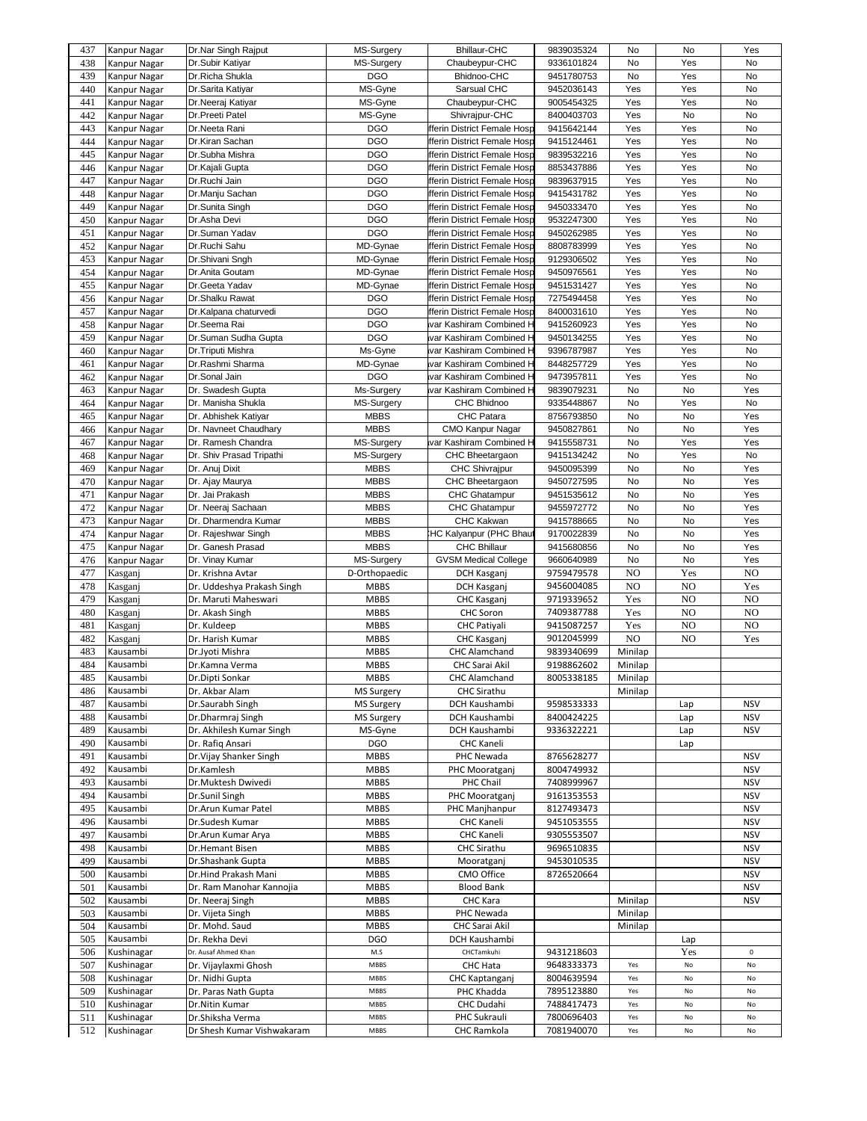| 437        | Kanpur Nagar             | Dr.Nar Singh Rajput                            | MS-Surgery        | <b>Bhillaur-CHC</b>                | 9839035324               | No                   | No             | Yes         |
|------------|--------------------------|------------------------------------------------|-------------------|------------------------------------|--------------------------|----------------------|----------------|-------------|
| 438        | Kanpur Nagar             | Dr.Subir Katiyar                               | MS-Surgery        | Chaubeypur-CHC                     | 9336101824               | No                   | Yes            | No          |
| 439        | Kanpur Nagar             | Dr.Richa Shukla                                | <b>DGO</b>        | Bhidnoo-CHC                        | 9451780753               | No                   | Yes            | No          |
| 440        | Kanpur Nagar             | Dr.Sarita Katiyar                              | MS-Gyne           | Sarsual CHC                        | 9452036143               | Yes                  | Yes            | No          |
| 441        | Kanpur Nagar             | Dr.Neeraj Katiyar                              | MS-Gyne           | Chaubeypur-CHC                     | 9005454325               | Yes                  | Yes            | No          |
| 442        | Kanpur Nagar             | Dr.Preeti Patel                                | MS-Gyne           | Shivraipur-CHC                     | 8400403703               | Yes                  | No             | No          |
|            |                          |                                                | <b>DGO</b>        |                                    |                          | Yes                  | Yes            | No          |
| 443        | Kanpur Nagar             | Dr.Neeta Rani                                  |                   | fferin District Female Hosp        | 9415642144               |                      |                |             |
| 444        | Kanpur Nagar             | Dr.Kiran Sachan                                | <b>DGO</b>        | fferin District Female Hosp        | 9415124461               | Yes                  | Yes            | No          |
| 445        | Kanpur Nagar             | Dr.Subha Mishra                                | <b>DGO</b>        | fferin District Female Hosp        | 9839532216               | Yes                  | Yes            | No          |
| 446        | Kanpur Nagar             | Dr. Kajali Gupta                               | <b>DGO</b>        | fferin District Female Hosp        | 8853437886               | Yes                  | Yes            | No          |
| 447        | Kanpur Nagar             | Dr.Ruchi Jain                                  | <b>DGO</b>        | fferin District Female Hosp        | 9839637915               | Yes                  | Yes            | No          |
| 448        | Kanpur Nagar             | Dr.Manju Sachan                                | <b>DGO</b>        | fferin District Female Hosp        | 9415431782               | Yes                  | Yes            | No          |
| 449        | Kanpur Nagar             | Dr.Sunita Singh                                | <b>DGO</b>        | fferin District Female Hosp        | 9450333470               | Yes                  | Yes            | No          |
| 450        | Kanpur Nagar             | Dr.Asha Devi                                   | <b>DGO</b>        | fferin District Female Hosp        | 9532247300               | Yes                  | Yes            | No          |
| 451        | Kanpur Nagar             | Dr.Suman Yadav                                 | <b>DGO</b>        | fferin District Female Hosp        | 9450262985               | Yes                  | Yes            | No          |
| 452        | Kanpur Nagar             | Dr.Ruchi Sahu                                  | MD-Gynae          | fferin District Female Hosp        | 8808783999               | Yes                  | Yes            | No          |
| 453        |                          | Dr.Shivani Sngh                                | MD-Gynae          | fferin District Female Hosp        | 9129306502               | Yes                  | Yes            | No          |
|            | Kanpur Nagar             |                                                |                   |                                    |                          |                      |                |             |
| 454        | Kanpur Nagar             | Dr.Anita Goutam                                | MD-Gynae          | fferin District Female Hosp        | 9450976561               | Yes                  | Yes            | No          |
| 455        | Kanpur Nagar             | Dr.Geeta Yadav                                 | MD-Gynae          | fferin District Female Hosp        | 9451531427               | Yes                  | Yes            | No          |
| 456        | Kanpur Nagar             | Dr.Shalku Rawat                                | <b>DGO</b>        | fferin District Female Hosp        | 7275494458               | Yes                  | Yes            | No          |
| 457        | Kanpur Nagar             | Dr.Kalpana chaturvedi                          | <b>DGO</b>        | fferin District Female Hosp        | 8400031610               | Yes                  | Yes            | No          |
| 458        | Kanpur Nagar             | Dr.Seema Rai                                   | <b>DGO</b>        | var Kashiram Combined H            | 9415260923               | Yes                  | Yes            | No          |
| 459        | Kanpur Nagar             | Dr.Suman Sudha Gupta                           | <b>DGO</b>        | var Kashiram Combined H            | 9450134255               | Yes                  | Yes            | No          |
| 460        | Kanpur Nagar             | Dr.Triputi Mishra                              | Ms-Gyne           | var Kashiram Combined H            | 9396787987               | Yes                  | Yes            | No          |
| 461        | Kanpur Nagar             | Dr.Rashmi Sharma                               | MD-Gynae          | var Kashiram Combined H            | 8448257729               | Yes                  | Yes            | No          |
| 462        |                          | Dr.Sonal Jain                                  | <b>DGO</b>        | var Kashiram Combined H            | 9473957811               | Yes                  | Yes            | No          |
|            | Kanpur Nagar             |                                                |                   |                                    |                          |                      |                |             |
| 463        | Kanpur Nagar             | Dr. Swadesh Gupta                              | Ms-Surgery        | var Kashiram Combined H            | 9839079231               | No                   | No             | Yes         |
| 464        | Kanpur Nagar             | Dr. Manisha Shukla                             | MS-Surgery        | CHC Bhidnoo                        | 9335448867               | No                   | Yes            | No          |
| 465        | Kanpur Nagar             | Dr. Abhishek Katiyar                           | <b>MBBS</b>       | CHC Patara                         | 8756793850               | No                   | No             | Yes         |
| 466        | Kanpur Nagar             | Dr. Navneet Chaudhary                          | <b>MBBS</b>       | CMO Kanpur Nagar                   | 9450827861               | No                   | No             | Yes         |
| 467        | Kanpur Nagar             | Dr. Ramesh Chandra                             | MS-Surgery        | var Kashiram Combined H            | 9415558731               | No                   | Yes            | Yes         |
| 468        | Kanpur Nagar             | Dr. Shiv Prasad Tripathi                       | MS-Surgery        | CHC Bheetargaon                    | 9415134242               | No                   | Yes            | No          |
| 469        | Kanpur Nagar             | Dr. Anuj Dixit                                 | <b>MBBS</b>       | CHC Shivrajpur                     | 9450095399               | No                   | No             | Yes         |
| 470        | Kanpur Nagar             | Dr. Ajay Maurya                                | <b>MBBS</b>       | CHC Bheetargaon                    | 9450727595               | No                   | No             | Yes         |
| 471        |                          | Dr. Jai Prakash                                | <b>MBBS</b>       | CHC Ghatampur                      | 9451535612               | No                   | No             | Yes         |
|            | Kanpur Nagar             |                                                |                   |                                    |                          |                      |                |             |
| 472        | Kanpur Nagar             | Dr. Neeraj Sachaan                             | <b>MBBS</b>       | <b>CHC Ghatampur</b>               | 9455972772               | No                   | No             | Yes         |
| 473        | Kanpur Nagar             | Dr. Dharmendra Kumar                           | <b>MBBS</b>       | <b>CHC Kakwan</b>                  | 9415788665               | No                   | No             | Yes         |
| 474        | Kanpur Nagar             | Dr. Rajeshwar Singh                            | <b>MBBS</b>       | HC Kalyanpur (PHC Bhaut            | 9170022839               | No                   | No             | Yes         |
| 475        | Kanpur Nagar             | Dr. Ganesh Prasad                              | <b>MBBS</b>       | <b>CHC Bhillaur</b>                | 9415680856               | No                   | No             | Yes         |
| 476        | Kanpur Nagar             | Dr. Vinay Kumar                                | MS-Surgery        | <b>GVSM Medical College</b>        | 9660640989               | No                   | No             | Yes         |
| 477        | Kasganj                  | Dr. Krishna Avtar                              | D-Orthopaedic     | <b>DCH Kasganj</b>                 | 9759479578               | NO                   | Yes            | NO          |
|            |                          |                                                |                   |                                    |                          |                      |                |             |
|            |                          |                                                |                   |                                    |                          |                      |                |             |
| 478        | Kasganj                  | Dr. Uddeshya Prakash Singh                     | <b>MBBS</b>       | DCH Kasganj                        | 9456004085               | N <sub>O</sub>       | N <sub>O</sub> | Yes         |
| 479        | Kasganj                  | Dr. Maruti Maheswari                           | <b>MBBS</b>       | <b>CHC Kasganj</b>                 | 9719339652               | Yes                  | NO             | NO          |
| 480        | Kasganj                  | Dr. Akash Singh                                | <b>MBBS</b>       | CHC Soron                          | 7409387788               | Yes                  | NO             | NO          |
| 481        | Kasganj                  | Dr. Kuldeep                                    | <b>MBBS</b>       | <b>CHC Patiyali</b>                | 9415087257               | $\operatorname{Yes}$ | NO             | NO          |
| 482        | Kasganj                  | Dr. Harish Kumar                               | <b>MBBS</b>       | CHC Kasganj                        | 9012045999               | NO                   | N <sub>O</sub> | Yes         |
| 483        | Kausambi                 | Dr.Jyoti Mishra                                | <b>MBBS</b>       | CHC Alamchand                      | 9839340699               | Minilap              |                |             |
| 484        | Kausambi                 | Dr.Kamna Verma                                 | <b>MBBS</b>       | CHC Sarai Akil                     | 9198862602               | Minilap              |                |             |
| 485        | Kausambi                 | Dr.Dipti Sonkar                                | MBBS              | CHC Alamchand                      | 8005338185               | Minilap              |                |             |
| 486        | Kausambi                 | Dr. Akbar Alam                                 | MS Surgery        | <b>CHC Sirathu</b>                 |                          | Minilap              |                |             |
| 487        |                          | Dr.Saurabh Singh                               | <b>MS Surgery</b> |                                    |                          |                      |                | <b>NSV</b>  |
|            | Kausambi                 |                                                |                   | DCH Kaushambi                      | 9598533333               |                      | Lap            |             |
| 488        | Kausambi                 | Dr.Dharmraj Singh                              | <b>MS Surgery</b> | DCH Kaushambi                      | 8400424225               |                      | Lap            | <b>NSV</b>  |
| 489        | Kausambi                 | Dr. Akhilesh Kumar Singh                       | MS-Gyne           | DCH Kaushambi                      | 9336322221               |                      | Lap            | <b>NSV</b>  |
| 490        | Kausambi                 | Dr. Rafiq Ansari                               | <b>DGO</b>        | CHC Kaneli                         |                          |                      | Lap            |             |
| 491        | Kausambi                 | Dr. Vijay Shanker Singh                        | <b>MBBS</b>       | PHC Newada                         | 8765628277               |                      |                | <b>NSV</b>  |
| 492        | Kausambi                 | Dr.Kamlesh                                     | <b>MBBS</b>       | PHC Mooratganj                     | 8004749932               |                      |                | NSV         |
| 493        | Kausambi                 | Dr.Muktesh Dwivedi                             | <b>MBBS</b>       | PHC Chail                          | 7408999967               |                      |                | <b>NSV</b>  |
| 494        | Kausambi                 | Dr.Sunil Singh                                 | <b>MBBS</b>       | PHC Mooratganj                     | 9161353553               |                      |                | <b>NSV</b>  |
| 495        | Kausambi                 | Dr.Arun Kumar Patel                            | <b>MBBS</b>       | PHC Manjhanpur                     | 8127493473               |                      |                | <b>NSV</b>  |
| 496        | Kausambi                 |                                                |                   |                                    |                          |                      |                | <b>NSV</b>  |
|            |                          | Dr.Sudesh Kumar                                | <b>MBBS</b>       | CHC Kaneli                         | 9451053555               |                      |                |             |
| 497        | Kausambi                 | Dr.Arun Kumar Arya                             | <b>MBBS</b>       | CHC Kaneli                         | 9305553507               |                      |                | <b>NSV</b>  |
| 498        | Kausambi                 | Dr.Hemant Bisen                                | <b>MBBS</b>       | <b>CHC Sirathu</b>                 | 9696510835               |                      |                | <b>NSV</b>  |
| 499        | Kausambi                 | Dr.Shashank Gupta                              | <b>MBBS</b>       | Mooratganj                         | 9453010535               |                      |                | <b>NSV</b>  |
| 500        | Kausambi                 | Dr.Hind Prakash Mani                           | <b>MBBS</b>       | CMO Office                         | 8726520664               |                      |                | <b>NSV</b>  |
| 501        | Kausambi                 | Dr. Ram Manohar Kannojia                       | <b>MBBS</b>       | <b>Blood Bank</b>                  |                          |                      |                | <b>NSV</b>  |
| 502        | Kausambi                 | Dr. Neeraj Singh                               | <b>MBBS</b>       | CHC Kara                           |                          | Minilap              |                | <b>NSV</b>  |
| 503        | Kausambi                 | Dr. Vijeta Singh                               | <b>MBBS</b>       | PHC Newada                         |                          | Minilap              |                |             |
| 504        | Kausambi                 | Dr. Mohd. Saud                                 | <b>MBBS</b>       | CHC Sarai Akil                     |                          | Minilap              |                |             |
| 505        | Kausambi                 | Dr. Rekha Devi                                 | <b>DGO</b>        | DCH Kaushambi                      |                          |                      |                |             |
|            |                          | Dr. Ausaf Ahmed Khan                           | $M.S$             |                                    |                          |                      | Lap            | $\mathsf 0$ |
| 506        | Kushinagar               |                                                |                   | CHCTamkuhi                         | 9431218603               |                      | Yes            |             |
| 507        | Kushinagar               | Dr. Vijaylaxmi Ghosh                           | MBBS              | CHC Hata                           | 9648333373               | Yes                  | No             | No          |
| 508        | Kushinagar               | Dr. Nidhi Gupta                                | MBBS              | CHC Kaptanganj                     | 8004639594               | Yes                  | No             | No          |
| 509        | Kushinagar               | Dr. Paras Nath Gupta                           | MBBS              | PHC Khadda                         | 7895123880               | Yes                  | No             | No          |
| 510        | Kushinagar               | Dr.Nitin Kumar                                 | MBBS              | CHC Dudahi                         | 7488417473               | Yes                  | No             | No          |
| 511<br>512 | Kushinagar<br>Kushinagar | Dr.Shiksha Verma<br>Dr Shesh Kumar Vishwakaram | MBBS<br>MBBS      | PHC Sukrauli<br><b>CHC Ramkola</b> | 7800696403<br>7081940070 | Yes                  | No             | No          |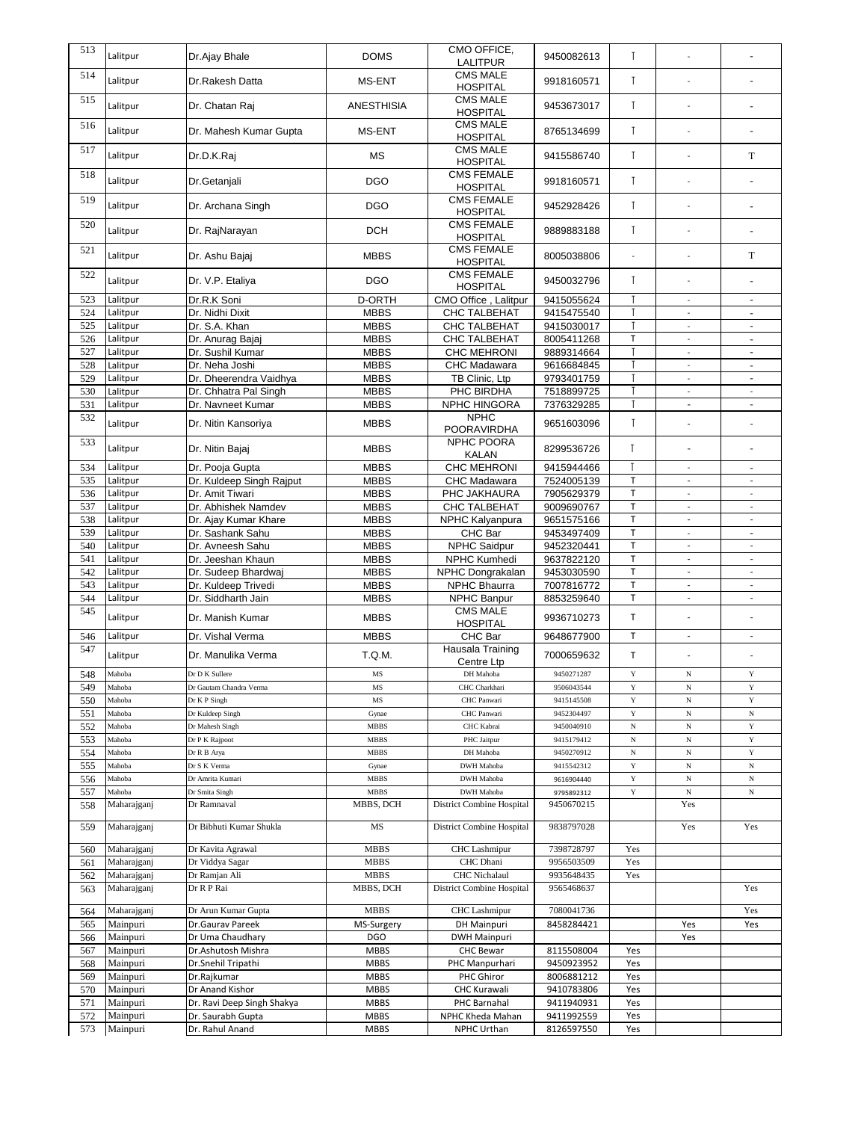| 513 | Lalitpur    | Dr.Ajay Bhale              | <b>DOMS</b>       | CMO OFFICE,<br><b>LALITPUR</b>       | 9450082613 | $\mathsf{L}$   |                          |                          |
|-----|-------------|----------------------------|-------------------|--------------------------------------|------------|----------------|--------------------------|--------------------------|
| 514 | Lalitpur    | Dr.Rakesh Datta            | MS-ENT            | <b>CMS MALE</b><br><b>HOSPITAL</b>   | 9918160571 | $\mathsf{L}$   | $\overline{a}$           |                          |
| 515 | Lalitpur    | Dr. Chatan Raj             | <b>ANESTHISIA</b> | <b>CMS MALE</b><br><b>HOSPITAL</b>   | 9453673017 | $\mathsf{L}$   | $\overline{a}$           |                          |
| 516 | Lalitpur    | Dr. Mahesh Kumar Gupta     | MS-ENT            | <b>CMS MALE</b><br><b>HOSPITAL</b>   | 8765134699 | $\mathsf{T}$   | $\overline{a}$           |                          |
| 517 | Lalitpur    | Dr.D.K.Raj                 | <b>MS</b>         | <b>CMS MALE</b>                      | 9415586740 | $\mathsf{T}$   | $\overline{a}$           | T                        |
| 518 | Lalitpur    | Dr.Getanjali               | <b>DGO</b>        | <b>HOSPITAL</b><br><b>CMS FEMALE</b> | 9918160571 | $\mathsf{T}$   | $\overline{a}$           |                          |
| 519 | Lalitpur    |                            | <b>DGO</b>        | <b>HOSPITAL</b><br><b>CMS FEMALE</b> |            | $\mathsf{L}$   | $\overline{a}$           |                          |
| 520 |             | Dr. Archana Singh          |                   | <b>HOSPITAL</b><br><b>CMS FEMALE</b> | 9452928426 |                |                          | $\sim$                   |
| 521 | Lalitpur    | Dr. RajNarayan             | <b>DCH</b>        | <b>HOSPITAL</b><br><b>CMS FEMALE</b> | 9889883188 | $\mathsf{T}$   | $\overline{a}$           |                          |
|     | Lalitpur    | Dr. Ashu Bajaj             | <b>MBBS</b>       | <b>HOSPITAL</b><br><b>CMS FEMALE</b> | 8005038806 | $\overline{a}$ |                          | T                        |
| 522 | Lalitpur    | Dr. V.P. Etaliya           | <b>DGO</b>        | <b>HOSPITAL</b>                      | 9450032796 | $\mathsf{T}$   |                          |                          |
| 523 | Lalitpur    | Dr.R.K Soni                | <b>D-ORTH</b>     | CMO Office, Lalitpur                 | 9415055624 | I              | $\overline{a}$           | ä,                       |
| 524 | Lalitpur    | Dr. Nidhi Dixit            | <b>MBBS</b>       | <b>CHC TALBEHAT</b>                  | 9415475540 | $\mathsf{I}$   | $\overline{a}$           |                          |
| 525 | Lalitpur    | Dr. S.A. Khan              | <b>MBBS</b>       | CHC TALBEHAT                         | 9415030017 |                | $\overline{a}$           | ÷.                       |
| 526 | Lalitpur    | Dr. Anurag Bajaj           | <b>MBBS</b>       | CHC TALBEHAT                         | 8005411268 | $\top$         | $\overline{a}$           | ÷,                       |
| 527 | Lalitpur    | Dr. Sushil Kumar           | <b>MBBS</b>       | <b>CHC MEHRONI</b>                   | 9889314664 | Т              | $\overline{\phantom{a}}$ | ÷,                       |
| 528 | Lalitpur    | Dr. Neha Joshi             | <b>MBBS</b>       | CHC Madawara                         | 9616684845 | $\mathsf{T}$   | $\overline{a}$           |                          |
| 529 | Lalitpur    | Dr. Dheerendra Vaidhya     | <b>MBBS</b>       | TB Clinic, Ltp                       | 9793401759 | $\mathsf{T}$   | ÷,                       | ÷,                       |
| 530 | Lalitpur    | Dr. Chhatra Pal Singh      | <b>MBBS</b>       | PHC BIRDHA                           | 7518899725 |                |                          |                          |
| 531 | Lalitpur    | Dr. Navneet Kumar          | <b>MBBS</b>       | NPHC HINGORA                         | 7376329285 |                | ä,                       | ä,                       |
|     |             |                            |                   | <b>NPHC</b>                          |            |                |                          |                          |
| 532 | Lalitpur    | Dr. Nitin Kansoriya        | <b>MBBS</b>       | POORAVIRDHA                          | 9651603096 | $\mathsf{L}$   | $\overline{a}$           | ÷,                       |
| 533 | Lalitpur    | Dr. Nitin Bajaj            | <b>MBBS</b>       | NPHC POORA<br><b>KALAN</b>           | 8299536726 | T              | ÷,                       |                          |
| 534 | Lalitpur    | Dr. Pooja Gupta            | <b>MBBS</b>       | CHC MEHRONI                          | 9415944466 |                |                          |                          |
| 535 | Lalitpur    | Dr. Kuldeep Singh Rajput   | <b>MBBS</b>       | CHC Madawara                         | 7524005139 | $\top$         | $\overline{\phantom{0}}$ |                          |
| 536 | Lalitpur    | Dr. Amit Tiwari            | <b>MBBS</b>       | PHC JAKHAURA                         | 7905629379 | $\top$         |                          |                          |
| 537 | Lalitpur    | Dr. Abhishek Namdev        | <b>MBBS</b>       | CHC TALBEHAT                         | 9009690767 | $\top$         | ÷,                       | $\overline{\phantom{a}}$ |
| 538 | Lalitpur    | Dr. Ajay Kumar Khare       | <b>MBBS</b>       | NPHC Kalyanpura                      | 9651575166 | T              | $\overline{\phantom{a}}$ | $\overline{a}$           |
| 539 | Lalitpur    | Dr. Sashank Sahu           | <b>MBBS</b>       | <b>CHC</b> Bar                       | 9453497409 | $\top$         | $\overline{\phantom{a}}$ |                          |
|     |             |                            |                   |                                      |            |                |                          | $\overline{\phantom{a}}$ |
| 540 | Lalitpur    | Dr. Avneesh Sahu           | <b>MBBS</b>       | NPHC Saidpur                         | 9452320441 | $\top$         | ÷.                       | $\overline{a}$           |
| 541 | Lalitpur    | Dr. Jeeshan Khaun          | <b>MBBS</b>       | NPHC Kumhedi                         | 9637822120 | $\mathsf{T}$   | ÷,                       | ÷,                       |
| 542 | Lalitpur    | Dr. Sudeep Bhardwai        | <b>MBBS</b>       | NPHC Dongrakalan                     | 9453030590 | $\top$         | ÷,                       | $\overline{a}$           |
| 543 | Lalitpur    | Dr. Kuldeep Trivedi        | <b>MBBS</b>       | <b>NPHC Bhaurra</b>                  | 7007816772 | $\top$         | $\mathcal{L}$            | $\overline{\phantom{a}}$ |
| 544 | Lalitpur    | Dr. Siddharth Jain         | <b>MBBS</b>       | <b>NPHC Banpur</b>                   | 8853259640 | T              | $\overline{\phantom{a}}$ | $\frac{1}{2}$            |
| 545 | Lalitpur    | Dr. Manish Kumar           | <b>MBBS</b>       | <b>CMS MALE</b><br><b>HOSPITAL</b>   | 9936710273 | T              | $\overline{a}$           |                          |
| 546 | Lalitpur    | Dr. Vishal Verma           | <b>MBBS</b>       | CHC Bar                              | 9648677900 | T              | $\overline{\phantom{a}}$ | $\overline{a}$           |
| 547 | Lalitpur    | Dr. Manulika Verma         | T.Q.M.            | Hausala Training                     | 7000659632 | T              |                          |                          |
|     |             |                            |                   | Centre Ltp                           |            |                |                          |                          |
| 548 | Mahoba      | Dr D K Sullere             | $\rm{MS}$         | DH Mahoba                            | 9450271287 | $\mathbf Y$    | $_{\rm N}$               | $\mathbf Y$              |
| 549 | Mahoba      | Dr Gautam Chandra Verma    | MS                | CHC Charkhari                        | 9506043544 | Y              | $_{\rm N}$               | $\mathbf Y$              |
| 550 | Mahoba      | Dr K P Singh               | MS                | CHC Panwari                          | 9415145508 | $\mathbf Y$    | $_{\rm N}$               | $\mathbf Y$              |
| 551 | Mahoba      | Dr Kuldeep Singh           | Gynae             | CHC Panwari                          | 9452304497 | $\mathbf Y$    | $_{\rm N}$               | $_{\rm N}$               |
| 552 | Mahoba      | Dr Mahesh Singh            | <b>MBBS</b>       | CHC Kabrai                           | 9450040910 | $_{\rm N}$     | $_{\rm N}$               | Y                        |
| 553 | Mahoba      | Dr P K Rajpoot             | <b>MBBS</b>       | PHC Jaitpur                          | 9415179412 | $_{\rm N}$     | $_{\rm N}$               | $\mathbf Y$              |
| 554 | Mahoba      | Dr R B Arya                | MBBS              | DH Mahoba                            | 9450270912 | $_{\rm N}$     | $_{\rm N}$               | $\mathbf Y$              |
| 555 | Mahoba      | Dr S K Verma               | Gynae             | DWH Mahoba                           | 9415542312 | $\mathbf Y$    | $_{\rm N}$               | $_{\rm N}$               |
| 556 | Mahoba      | Dr Amrita Kumari           | MBBS              | DWH Mahoba                           | 9616904440 | $\mathbf Y$    | $_{\rm N}$               | $_{\rm N}$               |
| 557 | Mahoba      | Dr Smita Singh             | MBBS              | DWH Mahoba                           | 9795892312 | $\mathbf Y$    | $_{\rm N}$               | $_{\rm N}$               |
| 558 | Maharajganj | Dr Ramnaval                | MBBS, DCH         | District Combine Hospital            | 9450670215 |                | Yes                      |                          |
| 559 | Maharajganj | Dr Bibhuti Kumar Shukla    | MS                | District Combine Hospital            | 9838797028 |                | Yes                      | Yes                      |
| 560 | Maharajganj | Dr Kavita Agrawal          | <b>MBBS</b>       | <b>CHC</b> Lashmipur                 | 7398728797 | Yes            |                          |                          |
| 561 | Maharajganj | Dr Viddya Sagar            | <b>MBBS</b>       | CHC Dhani                            | 9956503509 | Yes            |                          |                          |
|     |             |                            | <b>MBBS</b>       |                                      |            |                |                          |                          |
| 562 | Maharajganj | Dr Ramjan Ali              |                   | CHC Nichalaul                        | 9935648435 | Yes            |                          |                          |
| 563 | Maharajganj | Dr R P Rai                 | MBBS, DCH         | District Combine Hospital            | 9565468637 |                |                          | Yes                      |
| 564 | Maharajganj | Dr Arun Kumar Gupta        | <b>MBBS</b>       | <b>CHC</b> Lashmipur                 | 7080041736 |                |                          | Yes                      |
| 565 | Mainpuri    | Dr.Gaurav Pareek           | MS-Surgery        | DH Mainpuri                          | 8458284421 |                | Yes                      | Yes                      |
| 566 | Mainpuri    | Dr Uma Chaudhary           | <b>DGO</b>        | <b>DWH Mainpuri</b>                  |            |                | Yes                      |                          |
| 567 | Mainpuri    | Dr.Ashutosh Mishra         | <b>MBBS</b>       | <b>CHC Bewar</b>                     | 8115508004 | Yes            |                          |                          |
| 568 | Mainpuri    | Dr.Snehil Tripathi         | <b>MBBS</b>       | PHC Manpurhari                       | 9450923952 | Yes            |                          |                          |
| 569 | Mainpuri    | Dr.Rajkumar                | <b>MBBS</b>       | PHC Ghiror                           | 8006881212 | Yes            |                          |                          |
| 570 | Mainpuri    | Dr Anand Kishor            | <b>MBBS</b>       | <b>CHC Kurawali</b>                  | 9410783806 | Yes            |                          |                          |
|     |             |                            |                   |                                      |            | Yes            |                          |                          |
| 571 | Mainpuri    | Dr. Ravi Deep Singh Shakya | <b>MBBS</b>       | PHC Barnahal                         | 9411940931 |                |                          |                          |
| 572 | Mainpuri    | Dr. Saurabh Gupta          | <b>MBBS</b>       | NPHC Kheda Mahan                     | 9411992559 | Yes            |                          |                          |
| 573 | Mainpuri    | Dr. Rahul Anand            | <b>MBBS</b>       | NPHC Urthan                          | 8126597550 | Yes            |                          |                          |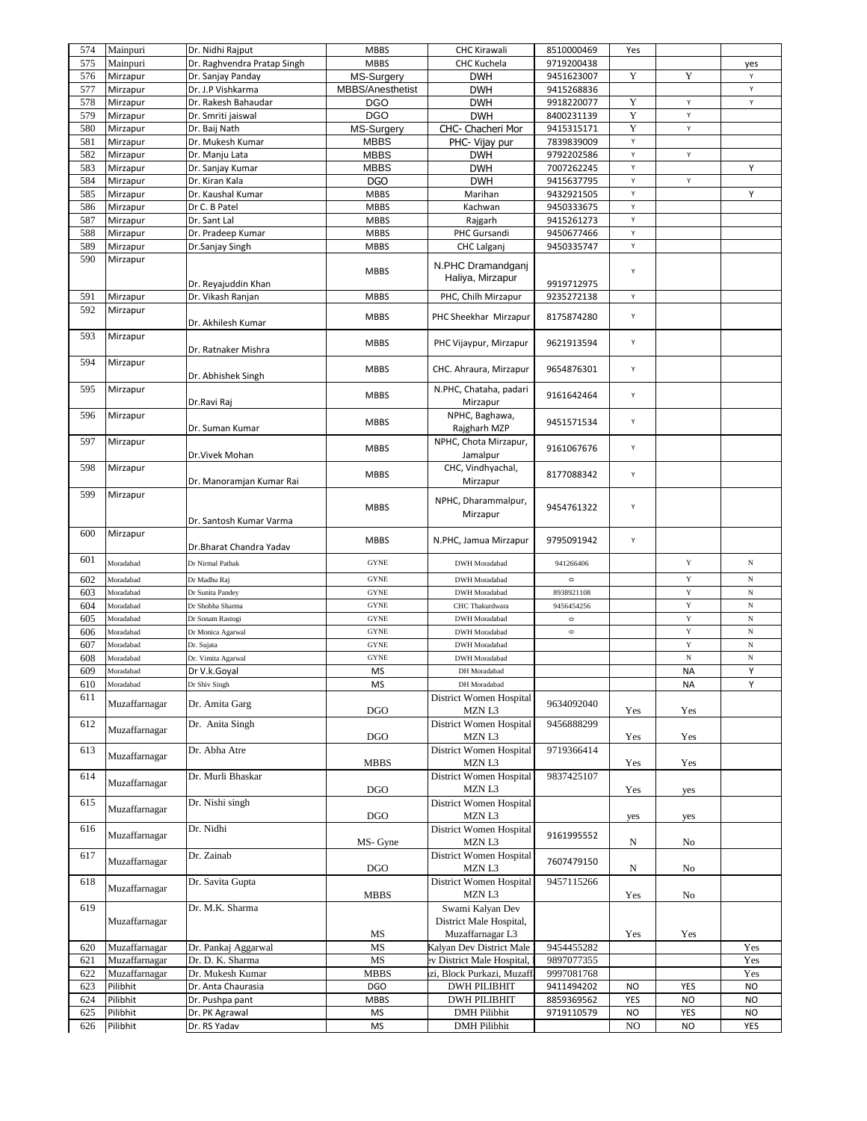| 574 | Mainpuri      | Dr. Nidhi Rajput            | <b>MBBS</b>      | <b>CHC Kirawali</b>                                             | 8510000469 | Yes       |                      |            |
|-----|---------------|-----------------------------|------------------|-----------------------------------------------------------------|------------|-----------|----------------------|------------|
| 575 | Mainpuri      | Dr. Raghvendra Pratap Singh | <b>MBBS</b>      | CHC Kuchela                                                     | 9719200438 |           |                      | yes        |
| 576 | Mirzapur      | Dr. Sanjay Panday           | MS-Surgery       | <b>DWH</b>                                                      | 9451623007 | Y         | Y                    | Y          |
| 577 | Mirzapur      | Dr. J.P Vishkarma           | MBBS/Anesthetist | <b>DWH</b>                                                      | 9415268836 |           |                      | Υ          |
| 578 | Mirzapur      | Dr. Rakesh Bahaudar         | <b>DGO</b>       | <b>DWH</b>                                                      | 9918220077 | Y         | Υ                    | Υ          |
| 579 | Mirzapur      | Dr. Smriti jaiswal          | <b>DGO</b>       | <b>DWH</b>                                                      | 8400231139 | Y         | Υ                    |            |
| 580 | Mirzapur      | Dr. Baij Nath               | MS-Surgery       | CHC- Chacheri Mor                                               | 9415315171 | Y         | Υ                    |            |
| 581 | Mirzapur      | Dr. Mukesh Kumar            | <b>MBBS</b>      | PHC- Vijay pur                                                  | 7839839009 | Υ         |                      |            |
| 582 | Mirzapur      | Dr. Manju Lata              | <b>MBBS</b>      | <b>DWH</b>                                                      | 9792202586 | Υ         | Y                    |            |
| 583 | Mirzapur      | Dr. Sanjay Kumar            | <b>MBBS</b>      | <b>DWH</b>                                                      | 7007262245 | Υ         |                      | Υ          |
| 584 | Mirzapur      | Dr. Kiran Kala              | <b>DGO</b>       | <b>DWH</b>                                                      | 9415637795 | Υ         | Y                    |            |
| 585 | Mirzapur      | Dr. Kaushal Kumar           | <b>MBBS</b>      | Marihan                                                         | 9432921505 | Υ         |                      | Υ          |
| 586 | Mirzapur      | Dr C. B Patel               | <b>MBBS</b>      | Kachwan                                                         | 9450333675 | Υ         |                      |            |
| 587 | Mirzapur      | Dr. Sant Lal                | <b>MBBS</b>      | Rajgarh                                                         | 9415261273 | Υ         |                      |            |
| 588 | Mirzapur      | Dr. Pradeep Kumar           | <b>MBBS</b>      | PHC Gursandi                                                    | 9450677466 | Υ         |                      |            |
| 589 | Mirzapur      | Dr.Sanjay Singh             | <b>MBBS</b>      | <b>CHC Lalganj</b>                                              | 9450335747 | Υ         |                      |            |
| 590 | Mirzapur      |                             |                  |                                                                 |            |           |                      |            |
|     |               | Dr. Reyajuddin Khan         | <b>MBBS</b>      | N.PHC Dramandganj<br>Haliya, Mirzapur                           | 9919712975 | Υ         |                      |            |
| 591 | Mirzapur      | Dr. Vikash Ranjan           | <b>MBBS</b>      | PHC, Chilh Mirzapur                                             | 9235272138 | Υ         |                      |            |
| 592 | Mirzapur      | Dr. Akhilesh Kumar          | <b>MBBS</b>      | PHC Sheekhar Mirzapur                                           | 8175874280 | Υ         |                      |            |
| 593 | Mirzapur      | Dr. Ratnaker Mishra         | <b>MBBS</b>      | PHC Vijaypur, Mirzapur                                          | 9621913594 | Υ         |                      |            |
| 594 | Mirzapur      | Dr. Abhishek Singh          | <b>MBBS</b>      | CHC. Ahraura, Mirzapur                                          | 9654876301 | Υ         |                      |            |
| 595 | Mirzapur      | Dr.Ravi Raj                 | <b>MBBS</b>      | N.PHC, Chataha, padari<br>Mirzapur                              | 9161642464 | Υ         |                      |            |
| 596 | Mirzapur      | Dr. Suman Kumar             | <b>MBBS</b>      | NPHC, Baghawa,<br>Rajgharh MZP                                  | 9451571534 | Υ         |                      |            |
| 597 | Mirzapur      | Dr.Vivek Mohan              | <b>MBBS</b>      | NPHC, Chota Mirzapur,<br>Jamalpur                               | 9161067676 | Υ         |                      |            |
| 598 | Mirzapur      | Dr. Manoramjan Kumar Rai    | <b>MBBS</b>      | CHC, Vindhyachal,<br>Mirzapur                                   | 8177088342 | Υ         |                      |            |
| 599 | Mirzapur      | Dr. Santosh Kumar Varma     | <b>MBBS</b>      | NPHC, Dharammalpur,<br>Mirzapur                                 | 9454761322 | Υ         |                      |            |
| 600 | Mirzapur      | Dr.Bharat Chandra Yadav     | <b>MBBS</b>      | N.PHC, Jamua Mirzapur                                           | 9795091942 | Υ         |                      |            |
| 601 | Moradabad     | Dr Nirmal Pathak            | <b>GYNE</b>      | <b>DWH</b> Moradabad                                            | 941266406  |           | $\mathbf Y$          | $_{\rm N}$ |
| 602 | Moradabad     | Dr Madhu Raj                | <b>GYNE</b>      | DWH Moradabad                                                   | $\circ$    |           | $\mathbf Y$          | N          |
| 603 | Moradabad     | Dr Sunita Pandey            | <b>GYNE</b>      | <b>DWH</b> Moradabad                                            | 8938921108 |           | $\mathbf Y$          | N          |
| 604 | Moradabad     | Dr Shobha Sharma            | <b>GYNE</b>      | CHC Thakurdwara                                                 | 9456454256 |           | $\mathbf Y$          | $_{\rm N}$ |
| 605 | Moradabad     | Dr Sonam Rastogi            | <b>GYNE</b>      | DWH Moradabad                                                   | $\circ$    |           | $\mathbf Y$          | $_{\rm N}$ |
| 606 | Moradabad     | Dr Monica Agarwal           | <b>GYNE</b>      | DWH Moradabad                                                   | $\circ$    |           | $\mathbf Y$          | $_{\rm N}$ |
| 607 | Moradabad     | Dr. Sujata                  | <b>GYNE</b>      | <b>DWH</b> Moradabad                                            |            |           | $\mathbf Y$          | $_{\rm N}$ |
| 608 | Moradabad     | Dr. Vimita Agarwal          | <b>GYNE</b>      | <b>DWH</b> Moradabad                                            |            |           | $_{\rm N}$           | N          |
| 609 | Moradabad     | Dr V.k.Goyal                | <b>MS</b>        | DH Moradabad                                                    |            |           | NA                   | Υ          |
| 610 | Moradabad     | Dr Shiv Singh               | ΜS               | DH Moradabad                                                    |            |           | NA                   | Υ          |
| 611 | Muzaffarnagar | Dr. Amita Garg              | <b>DGO</b>       | District Women Hospital<br>MZN L3                               | 9634092040 | Yes       | Yes                  |            |
| 612 | Muzaffarnagar | Dr. Anita Singh             | <b>DGO</b>       | District Women Hospital<br>MZN L3                               | 9456888299 | Yes       | Yes                  |            |
| 613 | Muzaffarnagar | Dr. Abha Atre               | <b>MBBS</b>      | District Women Hospital<br>MZN L3                               | 9719366414 | Yes       | Yes                  |            |
| 614 | Muzaffarnagar | Dr. Murli Bhaskar           | <b>DGO</b>       | District Women Hospital<br>MZN L3                               | 9837425107 | Yes       | yes                  |            |
| 615 | Muzaffarnagar | Dr. Nishi singh             | <b>DGO</b>       | District Women Hospital<br>MZN L3                               |            | yes       | yes                  |            |
| 616 | Muzaffarnagar | Dr. Nidhi                   | MS- Gyne         | District Women Hospital<br>MZN L3                               | 9161995552 | N         | No                   |            |
| 617 | Muzaffarnagar | Dr. Zainab                  | <b>DGO</b>       | District Women Hospital<br>MZN L3                               | 7607479150 | N         | No                   |            |
| 618 | Muzaffarnagar | Dr. Savita Gupta            | <b>MBBS</b>      | District Women Hospital<br>MZN L3                               | 9457115266 | Yes       | No                   |            |
| 619 | Muzaffarnagar | Dr. M.K. Sharma             | MS               | Swami Kalyan Dev<br>District Male Hospital,<br>Muzaffarnagar L3 |            | Yes       | $\operatorname{Yes}$ |            |
| 620 | Muzaffarnagar | Dr. Pankaj Aggarwal         | MS               | Kalyan Dev District Male                                        | 9454455282 |           |                      | Yes        |
| 621 | Muzaffarnagar | Dr. D. K. Sharma            | MS               | ev District Male Hospital,                                      | 9897077355 |           |                      | Yes        |
| 622 | Muzaffarnagar | Dr. Mukesh Kumar            | <b>MBBS</b>      | zi, Block Purkazi, Muzaffa                                      | 9997081768 |           |                      | Yes        |
| 623 | Pilibhit      | Dr. Anta Chaurasia          | <b>DGO</b>       | <b>DWH PILIBHIT</b>                                             | 9411494202 | NO.       | YES                  | NO         |
| 624 | Pilibhit      | Dr. Pushpa pant             | <b>MBBS</b>      | <b>DWH PILIBHIT</b>                                             | 8859369562 | YES       | <b>NO</b>            | <b>NO</b>  |
| 625 | Pilibhit      | Dr. PK Agrawal              | MS               | <b>DMH</b> Pilibhit                                             | 9719110579 | <b>NO</b> | YES                  | <b>NO</b>  |
| 626 | Pilibhit      | Dr. RS Yadav                | MS               | <b>DMH</b> Pilibhit                                             |            | NO        | <b>NO</b>            | YES        |
|     |               |                             |                  |                                                                 |            |           |                      |            |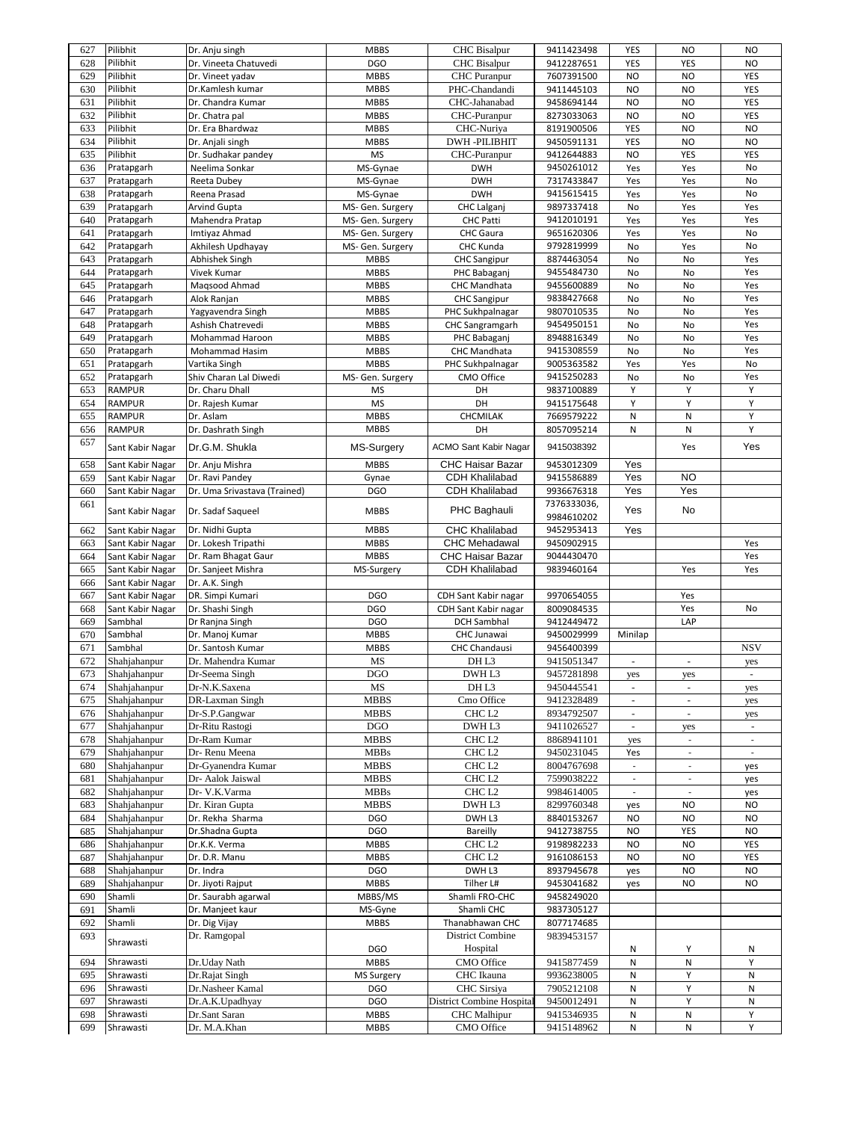|     | Pilibhit         | Dr. Anju singh               | <b>MBBS</b>       | <b>CHC</b> Bisalpur              | 9411423498  | YES                             | NO.                      | <b>NO</b>  |
|-----|------------------|------------------------------|-------------------|----------------------------------|-------------|---------------------------------|--------------------------|------------|
| 628 | Pilibhit         | Dr. Vineeta Chatuvedi        | <b>DGO</b>        | <b>CHC</b> Bisalpur              | 9412287651  | YES                             | YES                      | <b>NO</b>  |
| 629 | Pilibhit         | Dr. Vineet yadav             | <b>MBBS</b>       | <b>CHC</b> Puranpur              | 7607391500  | <b>NO</b>                       | <b>NO</b>                | YES        |
| 630 | Pilibhit         | Dr.Kamlesh kumar             | <b>MBBS</b>       | PHC-Chandandi                    | 9411445103  | <b>NO</b>                       | <b>NO</b>                | YES        |
| 631 | Pilibhit         | Dr. Chandra Kumar            | <b>MBBS</b>       | CHC-Jahanabad                    | 9458694144  | <b>NO</b>                       | <b>NO</b>                | YES        |
| 632 | Pilibhit         | Dr. Chatra pal               | <b>MBBS</b>       | CHC-Puranpur                     | 8273033063  | <b>NO</b>                       | <b>NO</b>                | YES        |
| 633 | Pilibhit         | Dr. Era Bhardwaz             | <b>MBBS</b>       | CHC-Nuriya                       | 8191900506  | YES                             | <b>NO</b>                | <b>NO</b>  |
| 634 | Pilibhit         | Dr. Anjali singh             | <b>MBBS</b>       | <b>DWH-PILIBHIT</b>              | 9450591131  | YES                             | <b>NO</b>                | <b>NO</b>  |
| 635 | Pilibhit         | Dr. Sudhakar pandey          | <b>MS</b>         | CHC-Puranpur                     | 9412644883  | NO.                             | YES                      | YES        |
| 636 | Pratapgarh       | Neelima Sonkar               | MS-Gynae          | <b>DWH</b>                       | 9450261012  | Yes                             | Yes                      | No         |
| 637 | Pratapgarh       | Reeta Dubey                  | MS-Gynae          | <b>DWH</b>                       | 7317433847  | Yes                             | Yes                      | No         |
| 638 | Pratapgarh       | Reena Prasad                 | MS-Gynae          | <b>DWH</b>                       | 9415615415  | Yes                             | Yes                      | No         |
| 639 | Pratapgarh       | <b>Arvind Gupta</b>          | MS- Gen. Surgery  | <b>CHC Lalganj</b>               | 9897337418  | No                              | Yes                      | Yes        |
| 640 | Pratapgarh       | Mahendra Pratap              | MS- Gen. Surgery  | <b>CHC Patti</b>                 | 9412010191  | Yes                             | Yes                      | Yes        |
| 641 | Pratapgarh       | Imtiyaz Ahmad                | MS- Gen. Surgery  | <b>CHC</b> Gaura                 | 9651620306  | Yes                             | Yes                      | No         |
| 642 | Pratapgarh       | Akhilesh Updhayay            | MS- Gen. Surgery  | CHC Kunda                        | 9792819999  | No                              | Yes                      | No         |
| 643 | Pratapgarh       | Abhishek Singh               | <b>MBBS</b>       | <b>CHC Sangipur</b>              | 8874463054  | No                              | No                       | Yes        |
| 644 | Pratapgarh       | Vivek Kumar                  | <b>MBBS</b>       | PHC Babaganj                     | 9455484730  | No                              | No                       | Yes        |
| 645 | Pratapgarh       | Magsood Ahmad                | <b>MBBS</b>       | CHC Mandhata                     | 9455600889  | No                              | No                       | Yes        |
| 646 | Pratapgarh       | Alok Ranjan                  | <b>MBBS</b>       | <b>CHC Sangipur</b>              | 9838427668  | No                              | No                       | Yes        |
| 647 | Pratapgarh       | Yagyavendra Singh            | <b>MBBS</b>       | PHC Sukhpalnagar                 | 9807010535  | No                              | No                       | Yes        |
| 648 | Pratapgarh       | Ashish Chatrevedi            | <b>MBBS</b>       | <b>CHC Sangramgarh</b>           | 9454950151  | No                              | No                       | Yes        |
| 649 | Pratapgarh       | Mohammad Haroon              | <b>MBBS</b>       | PHC Babaganj                     | 8948816349  | No                              | No                       | Yes        |
| 650 | Pratapgarh       | Mohammad Hasim               | <b>MBBS</b>       | CHC Mandhata                     | 9415308559  | No                              | No                       | Yes        |
| 651 | Pratapgarh       | Vartika Singh                | <b>MBBS</b>       | PHC Sukhpalnagar                 | 9005363582  | Yes                             | Yes                      | No         |
| 652 | Pratapgarh       | Shiv Charan Lal Diwedi       | MS- Gen. Surgery  | CMO Office                       | 9415250283  | No                              | No                       | Yes        |
| 653 | RAMPUR           | Dr. Charu Dhall              | <b>MS</b>         | DH                               | 9837100889  | Υ                               | Y                        | Y          |
| 654 | <b>RAMPUR</b>    | Dr. Rajesh Kumar             | <b>MS</b>         | DH                               | 9415175648  | Υ                               | Υ                        | Υ          |
| 655 | <b>RAMPUR</b>    | Dr. Aslam                    | <b>MBBS</b>       | CHCMILAK                         | 7669579222  | N                               | N                        | Y          |
| 656 | RAMPUR           | Dr. Dashrath Singh           | <b>MBBS</b>       | DH                               | 8057095214  | N                               | N                        | Y          |
| 657 |                  |                              |                   |                                  |             |                                 |                          |            |
|     | Sant Kabir Nagar | Dr.G.M. Shukla               | MS-Surgery        | <b>ACMO Sant Kabir Nagar</b>     | 9415038392  |                                 | Yes                      | Yes        |
| 658 | Sant Kabir Nagar | Dr. Anju Mishra              | <b>MBBS</b>       | <b>CHC Haisar Bazar</b>          | 9453012309  | Yes                             |                          |            |
| 659 | Sant Kabir Nagar | Dr. Ravi Pandey              | Gynae             | <b>CDH Khalilabad</b>            | 9415586889  | Yes                             | <b>NO</b>                |            |
| 660 | Sant Kabir Nagar | Dr. Uma Srivastava (Trained) | <b>DGO</b>        | <b>CDH Khalilabad</b>            | 9936676318  | Yes                             | Yes                      |            |
| 661 |                  |                              |                   |                                  | 7376333036, |                                 |                          |            |
|     | Sant Kabir Nagar | Dr. Sadaf Saqueel            | <b>MBBS</b>       | PHC Baghauli                     | 9984610202  | Yes                             | No                       |            |
| 662 | Sant Kabir Nagar | Dr. Nidhi Gupta              | <b>MBBS</b>       | <b>CHC Khalilabad</b>            | 9452953413  | Yes                             |                          |            |
| 663 | Sant Kabir Nagar | Dr. Lokesh Tripathi          | <b>MBBS</b>       | <b>CHC Mehadawal</b>             | 9450902915  |                                 |                          | Yes        |
| 664 | Sant Kabir Nagar | Dr. Ram Bhagat Gaur          | <b>MBBS</b>       | <b>CHC Haisar Bazar</b>          | 9044430470  |                                 |                          | Yes        |
| 665 | Sant Kabir Nagar | Dr. Sanjeet Mishra           | MS-Surgery        | <b>CDH Khalilabad</b>            | 9839460164  |                                 | Yes                      | Yes        |
| 666 | Sant Kabir Nagar | Dr. A.K. Singh               |                   |                                  |             |                                 |                          |            |
| 667 | Sant Kabir Nagar | DR. Simpi Kumari             | <b>DGO</b>        | CDH Sant Kabir nagar             | 9970654055  |                                 | Yes                      |            |
| 668 | Sant Kabir Nagar | Dr. Shashi Singh             | <b>DGO</b>        | CDH Sant Kabir nagar             | 8009084535  |                                 | Yes                      | No         |
| 669 | Sambhal          | Dr Ranjna Singh              | <b>DGO</b>        | <b>DCH Sambhal</b>               | 9412449472  |                                 | LAP                      |            |
| 670 | Sambhal          | Dr. Manoj Kumar              | <b>MBBS</b>       | CHC Junawai                      | 9450029999  | Minilap                         |                          |            |
| 671 | Sambhal          | Dr. Santosh Kumar            | <b>MBBS</b>       | <b>CHC Chandausi</b>             | 9456400399  |                                 |                          | <b>NSV</b> |
| 672 | Shahjahanpur     | Dr. Mahendra Kumar           | MS                | DH L3                            | 9415051347  |                                 |                          | yes        |
| 673 | Shahjahanpur     | Dr-Seema Singh               | <b>DGO</b>        | DWH <sub>L3</sub>                |             |                                 |                          |            |
| 674 | Shahjahanpur     | Dr-N.K.Saxena                |                   |                                  |             |                                 |                          |            |
| 675 | Shahjahanpur     |                              |                   |                                  | 9457281898  | yes<br>$\overline{\phantom{a}}$ | yes                      |            |
| 676 |                  |                              | MS                | DH L3                            | 9450445541  |                                 | $\overline{\phantom{a}}$ | yes        |
|     |                  | DR-Laxman Singh              | <b>MBBS</b>       | Cmo Office                       | 9412328489  | $\overline{\phantom{a}}$        | $\overline{\phantom{a}}$ | yes        |
|     | Shahjahanpur     | Dr-S.P.Gangwar               | <b>MBBS</b>       | CHC <sub>L2</sub>                | 8934792507  |                                 |                          | yes        |
| 677 | Shahjahanpur     | Dr-Ritu Rastogi              | <b>DGO</b>        | DWH L3                           | 9411026527  | $\overline{\phantom{a}}$        | yes                      |            |
| 678 | Shahjahanpur     | Dr-Ram Kumar                 | <b>MBBS</b>       | CHC <sub>L2</sub>                | 8868941101  | yes                             |                          |            |
| 679 | Shahjahanpur     | Dr-Renu Meena                | <b>MBBs</b>       | CHC <sub>L2</sub>                | 9450231045  | Yes                             | ÷,                       | ÷,         |
| 680 | Shahjahanpur     | Dr-Gyanendra Kumar           | <b>MBBS</b>       | CHC <sub>L2</sub>                | 8004767698  | $\overline{\phantom{a}}$        | ÷.                       | yes        |
| 681 | Shahjahanpur     | Dr- Aalok Jaiswal            | <b>MBBS</b>       | CHC <sub>L2</sub>                | 7599038222  | $\overline{\phantom{a}}$        | $\mathbb{R}^2$           | yes        |
| 682 | Shahjahanpur     | Dr- V.K.Varma                | MBBs              | CHC <sub>L2</sub>                | 9984614005  | $\overline{\phantom{a}}$        | $\overline{\phantom{a}}$ | yes        |
| 683 | Shahjahanpur     | Dr. Kiran Gupta              | <b>MBBS</b>       | DWH <sub>L3</sub>                | 8299760348  | yes                             | <b>NO</b>                | <b>NO</b>  |
| 684 | Shahjahanpur     | Dr. Rekha Sharma             | <b>DGO</b>        | DWH L3                           | 8840153267  | NO                              | <b>NO</b>                | <b>NO</b>  |
| 685 | Shahjahanpur     | Dr.Shadna Gupta              | <b>DGO</b>        | Bareilly                         | 9412738755  | <b>NO</b>                       | YES                      | <b>NO</b>  |
| 686 | Shahjahanpur     | Dr.K.K. Verma                | <b>MBBS</b>       | CHC L2                           | 9198982233  | <b>NO</b>                       | <b>NO</b>                | YES        |
| 687 | Shahjahanpur     | Dr. D.R. Manu                | <b>MBBS</b>       | CHC <sub>L2</sub>                | 9161086153  | <b>NO</b>                       | <b>NO</b>                | YES        |
| 688 | Shahjahanpur     | Dr. Indra                    | <b>DGO</b>        | DWH L3                           | 8937945678  | yes                             | <b>NO</b>                | <b>NO</b>  |
| 689 | Shahjahanpur     | Dr. Jiyoti Rajput            | <b>MBBS</b>       | Tilher L#                        | 9453041682  | yes                             | <b>NO</b>                | <b>NO</b>  |
| 690 | Shamli           | Dr. Saurabh agarwal          | MBBS/MS           | Shamli FRO-CHC                   | 9458249020  |                                 |                          |            |
| 691 | Shamli           | Dr. Manjeet kaur             | MS-Gyne           | Shamli CHC                       | 9837305127  |                                 |                          |            |
| 692 | Shamli           | Dr. Dig Vijay                | <b>MBBS</b>       | Thanabhawan CHC                  | 8077174685  |                                 |                          |            |
| 693 |                  | Dr. Ramgopal                 |                   | <b>District Combine</b>          | 9839453157  |                                 |                          |            |
|     | Shrawasti        |                              | <b>DGO</b>        | Hospital                         |             | Ν                               | Υ                        | Ν          |
| 694 | Shrawasti        | Dr.Uday Nath                 | <b>MBBS</b>       | CMO Office                       | 9415877459  | N                               | N                        | Υ          |
| 695 | Shrawasti        | Dr.Rajat Singh               | <b>MS Surgery</b> | CHC Ikauna                       | 9936238005  | N                               | Υ                        | N          |
| 696 | Shrawasti        | Dr.Nasheer Kamal             | DGO               | CHC Sirsiya                      | 7905212108  | N                               | Υ                        | N          |
| 697 | Shrawasti        | Dr.A.K.Upadhyay              | <b>DGO</b>        | <b>District Combine Hospital</b> | 9450012491  | N                               | Υ                        | N          |
| 698 | Shrawasti        | Dr.Sant Saran                | <b>MBBS</b>       | <b>CHC</b> Malhipur              | 9415346935  | N                               | N                        | Υ          |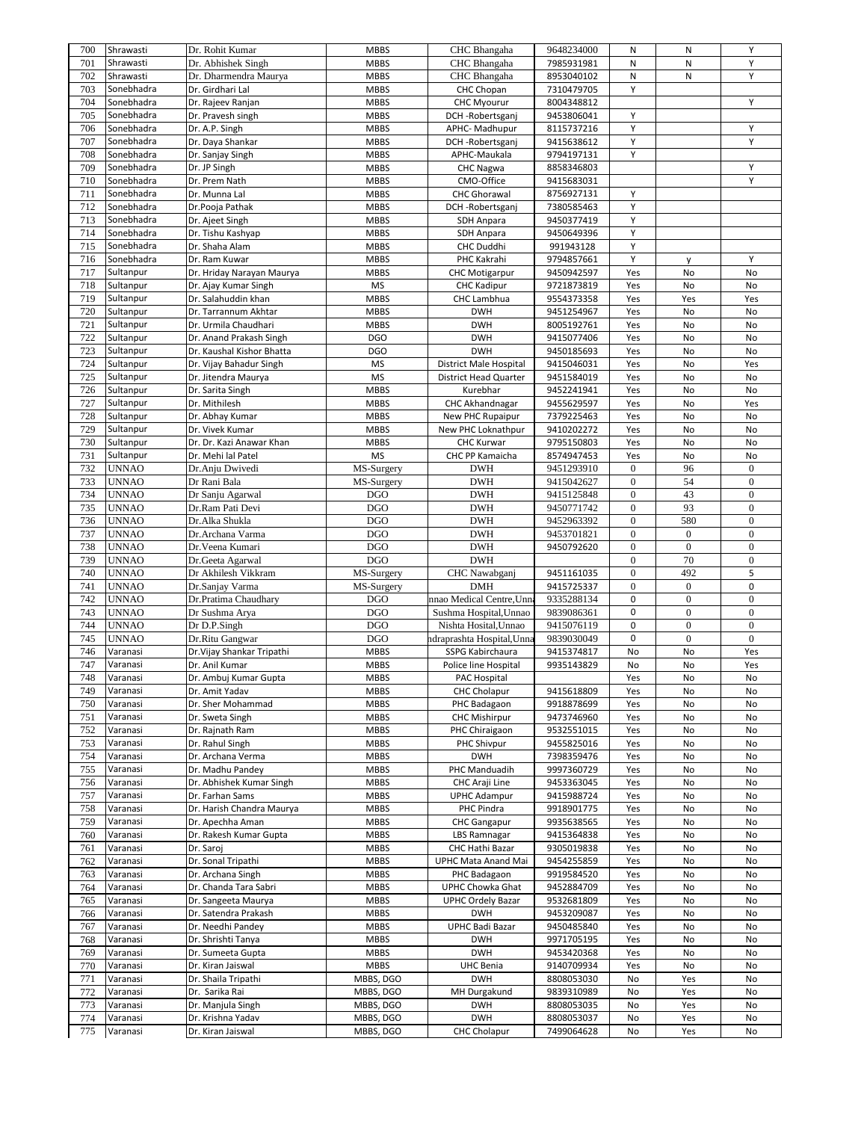| 700        | Shrawasti            | Dr. Rohit Kumar                        | <b>MBBS</b>            | CHC Bhangaha                      | 9648234000               | Ν                | N                | Y                |
|------------|----------------------|----------------------------------------|------------------------|-----------------------------------|--------------------------|------------------|------------------|------------------|
| 701        | Shrawasti            | Dr. Abhishek Singh                     | <b>MBBS</b>            | CHC Bhangaha                      | 7985931981               | N                | N                | Υ                |
| 702        | Shrawasti            | Dr. Dharmendra Maurya                  | <b>MBBS</b>            | CHC Bhangaha                      | 8953040102               | N                | N                | Y                |
| 703        | Sonebhadra           | Dr. Girdhari Lal                       | <b>MBBS</b>            | CHC Chopan                        | 7310479705               | Υ                |                  |                  |
| 704        | Sonebhadra           | Dr. Rajeev Ranjan                      | <b>MBBS</b>            | <b>CHC Myourur</b>                | 8004348812               |                  |                  | Y                |
|            |                      |                                        |                        |                                   |                          |                  |                  |                  |
| 705        | Sonebhadra           | Dr. Pravesh singh                      | <b>MBBS</b>            | DCH-Robertsganj                   | 9453806041               | Υ                |                  |                  |
| 706        | Sonebhadra           | Dr. A.P. Singh                         | <b>MBBS</b>            | APHC-Madhupur                     | 8115737216               | Y                |                  | Υ                |
| 707        | Sonebhadra           | Dr. Daya Shankar                       | <b>MBBS</b>            | DCH-Robertsganj                   | 9415638612               | Υ                |                  | Y                |
| 708        | Sonebhadra           | Dr. Sanjay Singh                       | <b>MBBS</b>            | APHC-Maukala                      | 9794197131               | Y                |                  |                  |
| 709        | Sonebhadra           | Dr. JP Singh                           | <b>MBBS</b>            | <b>CHC Nagwa</b>                  | 8858346803               |                  |                  | Υ                |
| 710        | Sonebhadra           | Dr. Prem Nath                          | <b>MBBS</b>            | CMO-Office                        | 9415683031               |                  |                  | Υ                |
| 711        | Sonebhadra           | Dr. Munna Lal                          | <b>MBBS</b>            | <b>CHC Ghorawal</b>               | 8756927131               | Υ                |                  |                  |
| 712        | Sonebhadra           | Dr.Pooja Pathak                        | <b>MBBS</b>            | DCH-Robertsganj                   | 7380585463               | Υ                |                  |                  |
| 713        | Sonebhadra           | Dr. Ajeet Singh                        | <b>MBBS</b>            | SDH Anpara                        | 9450377419               | Υ                |                  |                  |
| 714        | Sonebhadra           | Dr. Tishu Kashyap                      | <b>MBBS</b>            | <b>SDH Anpara</b>                 | 9450649396               | Y                |                  |                  |
|            |                      |                                        |                        |                                   |                          | Υ                |                  |                  |
| 715        | Sonebhadra           | Dr. Shaha Alam                         | <b>MBBS</b>            | CHC Duddhi                        | 991943128                |                  |                  |                  |
| 716        | Sonebhadra           | Dr. Ram Kuwar                          | <b>MBBS</b>            | PHC Kakrahi                       | 9794857661               | Υ                | y                | Υ                |
| 717        | Sultanpur            | Dr. Hriday Narayan Maurya              | <b>MBBS</b>            | <b>CHC Motigarpur</b>             | 9450942597               | Yes              | No               | No               |
| 718        | Sultanpur            | Dr. Ajay Kumar Singh                   | <b>MS</b>              | <b>CHC Kadipur</b>                | 9721873819               | Yes              | No               | No               |
| 719        | Sultanpur            | Dr. Salahuddin khan                    | <b>MBBS</b>            | CHC Lambhua                       | 9554373358               | Yes              | Yes              | Yes              |
| 720        | Sultanpur            | Dr. Tarrannum Akhtar                   | <b>MBBS</b>            | <b>DWH</b>                        | 9451254967               | Yes              | No               | No               |
| 721        | Sultanpur            | Dr. Urmila Chaudhari                   | <b>MBBS</b>            | <b>DWH</b>                        | 8005192761               | Yes              | No               | No               |
| 722        | Sultanpur            | Dr. Anand Prakash Singh                | <b>DGO</b>             | <b>DWH</b>                        | 9415077406               | Yes              | No               | No               |
| 723        | Sultanpur            | Dr. Kaushal Kishor Bhatta              | <b>DGO</b>             | <b>DWH</b>                        | 9450185693               | Yes              | No               | No               |
| 724        | Sultanpur            |                                        | <b>MS</b>              |                                   |                          | Yes              | No               |                  |
|            |                      | Dr. Vijay Bahadur Singh                |                        | District Male Hospital            | 9415046031               |                  |                  | Yes              |
| 725        | Sultanpur            | Dr. Jitendra Maurya                    | <b>MS</b>              | <b>District Head Quarter</b>      | 9451584019               | Yes              | No               | No               |
| 726        | Sultanpur            | Dr. Sarita Singh                       | <b>MBBS</b>            | Kurebhar                          | 9452241941               | Yes              | No               | No               |
| 727        | Sultanpur            | Dr. Mithilesh                          | <b>MBBS</b>            | CHC Akhandnagar                   | 9455629597               | Yes              | No               | Yes              |
| 728        | Sultanpur            | Dr. Abhay Kumar                        | <b>MBBS</b>            | New PHC Rupaipur                  | 7379225463               | Yes              | No               | No               |
| 729        | Sultanpur            | Dr. Vivek Kumar                        | <b>MBBS</b>            | New PHC Loknathpur                | 9410202272               | Yes              | No               | No               |
| 730        | Sultanpur            | Dr. Dr. Kazi Anawar Khan               | <b>MBBS</b>            | <b>CHC Kurwar</b>                 | 9795150803               | Yes              | No               | No               |
| 731        | Sultanpur            | Dr. Mehi lal Patel                     | <b>MS</b>              | CHC PP Kamaicha                   | 8574947453               | Yes              | No               | No               |
| 732        | <b>UNNAO</b>         | Dr.Anju Dwivedi                        | MS-Surgery             | <b>DWH</b>                        | 9451293910               | $\mathbf{0}$     | 96               | $\mathbf{0}$     |
| 733        | <b>UNNAO</b>         | Dr Rani Bala                           | MS-Surgery             | <b>DWH</b>                        | 9415042627               | $\boldsymbol{0}$ | 54               | $\boldsymbol{0}$ |
| 734        | <b>UNNAO</b>         | Dr Sanju Agarwal                       | <b>DGO</b>             | <b>DWH</b>                        | 9415125848               | $\boldsymbol{0}$ | 43               | $\boldsymbol{0}$ |
|            |                      |                                        |                        | <b>DWH</b>                        |                          | $\boldsymbol{0}$ | 93               | $\overline{0}$   |
| 735        | <b>UNNAO</b>         | Dr.Ram Pati Devi                       | <b>DGO</b>             |                                   | 9450771742               |                  |                  |                  |
| 736        | <b>UNNAO</b>         | Dr.Alka Shukla                         | <b>DGO</b>             | <b>DWH</b>                        | 9452963392               | $\boldsymbol{0}$ | 580              | $\boldsymbol{0}$ |
| 737        | <b>UNNAO</b>         | Dr.Archana Varma                       | <b>DGO</b>             | <b>DWH</b>                        | 9453701821               | $\mathbf{0}$     | $\boldsymbol{0}$ | $\boldsymbol{0}$ |
|            |                      |                                        |                        |                                   |                          |                  |                  |                  |
| 738        | <b>UNNAO</b>         | Dr. Veena Kumari                       | <b>DGO</b>             | <b>DWH</b>                        | 9450792620               | $\boldsymbol{0}$ | $\boldsymbol{0}$ | $\boldsymbol{0}$ |
| 739        | <b>UNNAO</b>         | Dr.Geeta Agarwal                       | <b>DGO</b>             | <b>DWH</b>                        |                          | $\mathbf{0}$     | 70               | $\mathbf{0}$     |
| 740        | <b>UNNAO</b>         | Dr Akhilesh Vikkram                    | MS-Surgery             | CHC Nawabganj                     | 9451161035               | $\boldsymbol{0}$ | 492              | 5                |
| 741        |                      |                                        |                        | <b>DMH</b>                        |                          | $\boldsymbol{0}$ | $\boldsymbol{0}$ | 0                |
|            | <b>UNNAO</b>         | Dr.Sanjay Varma                        | MS-Surgery             |                                   | 9415725337               |                  |                  |                  |
| 742        | <b>UNNAO</b>         | Dr.Pratima Chaudhary                   | <b>DGO</b>             | nnao Medical Centre, Unna         | 9335288134               | 0                | $\boldsymbol{0}$ | $\boldsymbol{0}$ |
| 743        | <b>UNNAO</b>         | Dr Sushma Arya                         | <b>DGO</b>             | Sushma Hospital, Unnao            | 9839086361               | 0                | $\boldsymbol{0}$ | $\boldsymbol{0}$ |
| 744        | <b>UNNAO</b>         | Dr D.P.Singh                           | <b>DGO</b>             | Nishta Hosital, Unnao             | 9415076119               | 0                | $\boldsymbol{0}$ | $\overline{0}$   |
| 745        | <b>UNNAO</b>         | Dr.Ritu Gangwar                        | <b>DGO</b>             | ndraprashta Hospital,Unna         | 9839030049               | 0                | $\mathbf{0}$     | $\overline{0}$   |
| 746        | Varanasi             | Dr. Vijay Shankar Tripathi             | <b>MBBS</b>            | SSPG Kabirchaura                  | 9415374817               | No               | No               | Yes              |
| 747        | Varanasi             | Dr. Anil Kumar                         | <b>MBBS</b>            | Police line Hospital              | 9935143829               | No               | No               | Yes              |
| 748        | Varanasi             | Dr. Ambuj Kumar Gupta                  | <b>MBBS</b>            | PAC Hospital                      |                          | Yes              | $\mathsf{No}$    | No               |
| 749        | Varanasi             | Dr. Amit Yadav                         | <b>MBBS</b>            | <b>CHC Cholapur</b>               | 9415618809               | Yes              | No               | No               |
| 750        | Varanasi             | Dr. Sher Mohammad                      | <b>MBBS</b>            | PHC Badagaon                      | 9918878699               | Yes              | No               | No               |
| 751        | Varanasi             | Dr. Sweta Singh                        | <b>MBBS</b>            | <b>CHC Mishirpur</b>              | 9473746960               | Yes              | No               | No               |
| 752        | Varanasi             | Dr. Rajnath Ram                        | <b>MBBS</b>            | PHC Chiraigaon                    | 9532551015               | Yes              | No               | No               |
|            |                      |                                        |                        |                                   |                          |                  |                  |                  |
| 753        | Varanasi             | Dr. Rahul Singh                        | <b>MBBS</b>            | PHC Shivpur                       | 9455825016               | Yes              | No               | No               |
| 754        | Varanasi             | Dr. Archana Verma                      | <b>MBBS</b>            | <b>DWH</b>                        | 7398359476               | Yes              | No               | No               |
| 755        | Varanasi             | Dr. Madhu Pandey                       | <b>MBBS</b>            | PHC Manduadih                     | 9997360729               | Yes              | No               | No               |
| 756        | Varanasi             | Dr. Abhishek Kumar Singh               | <b>MBBS</b>            | CHC Araji Line                    | 9453363045               | Yes              | No               | No               |
| 757        | Varanasi             | Dr. Farhan Sams                        | <b>MBBS</b>            | <b>UPHC Adampur</b>               | 9415988724               | Yes              | No               | No               |
| 758        | Varanasi             | Dr. Harish Chandra Maurya              | <b>MBBS</b>            | PHC Pindra                        | 9918901775               | Yes              | No               | No               |
| 759        | Varanasi             | Dr. Apechha Aman                       | <b>MBBS</b>            | <b>CHC</b> Gangapur               | 9935638565               | Yes              | No               | No               |
| 760        | Varanasi             | Dr. Rakesh Kumar Gupta                 | <b>MBBS</b>            | <b>LBS Ramnagar</b>               | 9415364838               | Yes              | No               | No               |
| 761        | Varanasi             | Dr. Saroj                              | <b>MBBS</b>            | CHC Hathi Bazar                   | 9305019838               | Yes              | No               | No               |
| 762        | Varanasi             | Dr. Sonal Tripathi                     | <b>MBBS</b>            | UPHC Mata Anand Mai               | 9454255859               | Yes              | No               | No               |
|            |                      |                                        |                        |                                   |                          |                  |                  |                  |
| 763        | Varanasi             | Dr. Archana Singh                      | <b>MBBS</b>            | PHC Badagaon                      | 9919584520               | Yes              | No               | No               |
| 764        | Varanasi             | Dr. Chanda Tara Sabri                  | <b>MBBS</b>            | UPHC Chowka Ghat                  | 9452884709               | Yes              | No               | No               |
| 765        | Varanasi             | Dr. Sangeeta Maurya                    | <b>MBBS</b>            | <b>UPHC Ordely Bazar</b>          | 9532681809               | Yes              | No               | No               |
| 766        | Varanasi             | Dr. Satendra Prakash                   | <b>MBBS</b>            | <b>DWH</b>                        | 9453209087               | Yes              | No               | No               |
| 767        | Varanasi             | Dr. Needhi Pandey                      | <b>MBBS</b>            | UPHC Badi Bazar                   | 9450485840               | Yes              | No               | No               |
| 768        | Varanasi             | Dr. Shrishti Tanya                     | <b>MBBS</b>            | <b>DWH</b>                        | 9971705195               | Yes              | No               | No               |
| 769        | Varanasi             | Dr. Sumeeta Gupta                      | <b>MBBS</b>            | <b>DWH</b>                        | 9453420368               | Yes              | No               | No               |
| 770        | Varanasi             | Dr. Kiran Jaiswal                      | <b>MBBS</b>            | <b>UHC Benia</b>                  | 9140709934               | Yes              | No               | No               |
| 771        | Varanasi             | Dr. Shaila Tripathi                    | MBBS, DGO              | <b>DWH</b>                        | 8808053030               | No               | Yes              | No               |
|            |                      |                                        |                        |                                   |                          |                  |                  |                  |
| 772        | Varanasi             | Dr. Sarika Rai                         | MBBS, DGO              | MH Durgakund                      | 9839310989               | No               | Yes              | No               |
| 773        | Varanasi             | Dr. Manjula Singh                      | MBBS, DGO              | <b>DWH</b>                        | 8808053035               | No               | Yes              | No               |
| 774<br>775 | Varanasi<br>Varanasi | Dr. Krishna Yadav<br>Dr. Kiran Jaiswal | MBBS, DGO<br>MBBS, DGO | <b>DWH</b><br><b>CHC Cholapur</b> | 8808053037<br>7499064628 | No<br>No         | Yes<br>Yes       | No<br>No         |